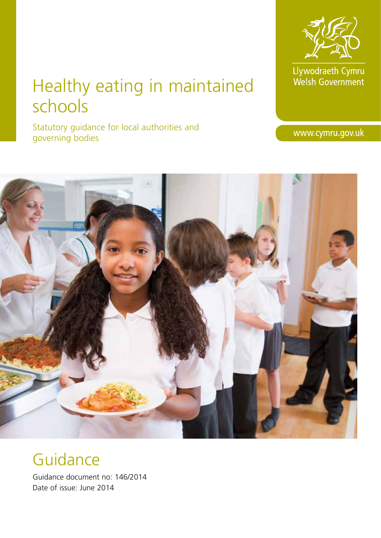# Healthy eating in maintained schools

Statutory guidance for local authorities and governing bodies

## **Guidance**

Guidance document no: 146/2014 Date of issue: June 2014



Llywodraeth Cymru<br>Welsh Government

www.cymru.gov.uk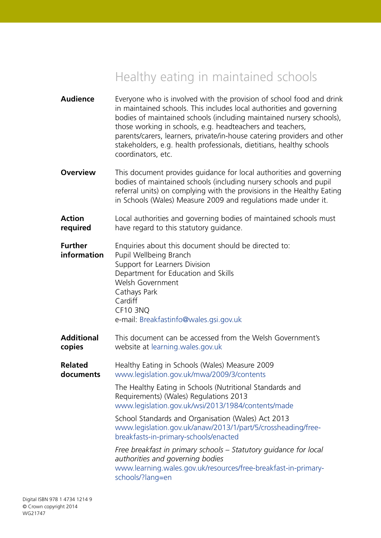## Healthy eating in maintained schools

| <b>Audience</b>               | Everyone who is involved with the provision of school food and drink<br>in maintained schools. This includes local authorities and governing<br>bodies of maintained schools (including maintained nursery schools),<br>those working in schools, e.g. headteachers and teachers,<br>parents/carers, learners, private/in-house catering providers and other<br>stakeholders, e.g. health professionals, dietitians, healthy schools<br>coordinators, etc. |
|-------------------------------|------------------------------------------------------------------------------------------------------------------------------------------------------------------------------------------------------------------------------------------------------------------------------------------------------------------------------------------------------------------------------------------------------------------------------------------------------------|
| <b>Overview</b>               | This document provides guidance for local authorities and governing<br>bodies of maintained schools (including nursery schools and pupil<br>referral units) on complying with the provisions in the Healthy Eating<br>in Schools (Wales) Measure 2009 and regulations made under it.                                                                                                                                                                       |
| <b>Action</b><br>required     | Local authorities and governing bodies of maintained schools must<br>have regard to this statutory guidance.                                                                                                                                                                                                                                                                                                                                               |
| <b>Further</b><br>information | Enquiries about this document should be directed to:<br>Pupil Wellbeing Branch<br>Support for Learners Division<br>Department for Education and Skills<br>Welsh Government<br>Cathays Park<br>Cardiff<br><b>CF10 3NQ</b><br>e-mail: Breakfastinfo@wales.gsi.gov.uk                                                                                                                                                                                         |
| <b>Additional</b><br>copies   | This document can be accessed from the Welsh Government's<br>website at learning.wales.gov.uk                                                                                                                                                                                                                                                                                                                                                              |
| <b>Related</b><br>documents   | Healthy Eating in Schools (Wales) Measure 2009<br>www.legislation.gov.uk/mwa/2009/3/contents<br>The Healthy Eating in Schools (Nutritional Standards and                                                                                                                                                                                                                                                                                                   |
|                               | Requirements) (Wales) Regulations 2013<br>www.legislation.gov.uk/wsi/2013/1984/contents/made                                                                                                                                                                                                                                                                                                                                                               |
|                               | School Standards and Organisation (Wales) Act 2013<br>www.legislation.gov.uk/anaw/2013/1/part/5/crossheading/free-<br>breakfasts-in-primary-schools/enacted                                                                                                                                                                                                                                                                                                |
|                               | Free breakfast in primary schools – Statutory guidance for local<br>authorities and governing bodies<br>www.learning.wales.gov.uk/resources/free-breakfast-in-primary-<br>schools/?lang=en                                                                                                                                                                                                                                                                 |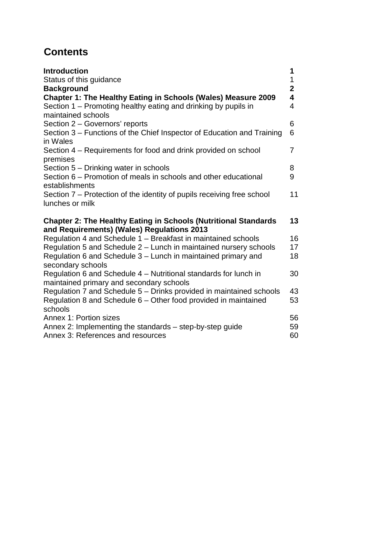## **Contents**

| <b>Introduction</b><br>Status of this guidance<br><b>Background</b><br>Chapter 1: The Healthy Eating in Schools (Wales) Measure 2009<br>Section 1 – Promoting healthy eating and drinking by pupils in<br>maintained schools | 1<br>1<br>$\overline{2}$<br>4<br>4 |
|------------------------------------------------------------------------------------------------------------------------------------------------------------------------------------------------------------------------------|------------------------------------|
| Section 2 - Governors' reports<br>Section 3 – Functions of the Chief Inspector of Education and Training                                                                                                                     | 6<br>6                             |
| in Wales<br>Section 4 – Requirements for food and drink provided on school<br>premises                                                                                                                                       | $\overline{7}$                     |
| Section 5 - Drinking water in schools<br>Section 6 – Promotion of meals in schools and other educational<br>establishments                                                                                                   | 8<br>9                             |
| Section 7 – Protection of the identity of pupils receiving free school<br>lunches or milk                                                                                                                                    | 11                                 |
| <b>Chapter 2: The Healthy Eating in Schools (Nutritional Standards</b><br>and Requirements) (Wales) Regulations 2013                                                                                                         | 13                                 |
| Regulation 4 and Schedule 1 - Breakfast in maintained schools                                                                                                                                                                | 16                                 |
| Regulation 5 and Schedule 2 – Lunch in maintained nursery schools                                                                                                                                                            | 17                                 |
| Regulation 6 and Schedule 3 - Lunch in maintained primary and<br>secondary schools                                                                                                                                           | 18                                 |
| Regulation 6 and Schedule 4 - Nutritional standards for lunch in<br>maintained primary and secondary schools                                                                                                                 | 30                                 |
| Regulation 7 and Schedule 5 - Drinks provided in maintained schools                                                                                                                                                          | 43                                 |
| Regulation 8 and Schedule 6 - Other food provided in maintained<br>schools                                                                                                                                                   | 53                                 |
| Annex 1: Portion sizes                                                                                                                                                                                                       | 56                                 |
| Annex 2: Implementing the standards – step-by-step guide                                                                                                                                                                     | 59                                 |
| Annex 3: References and resources                                                                                                                                                                                            | 60                                 |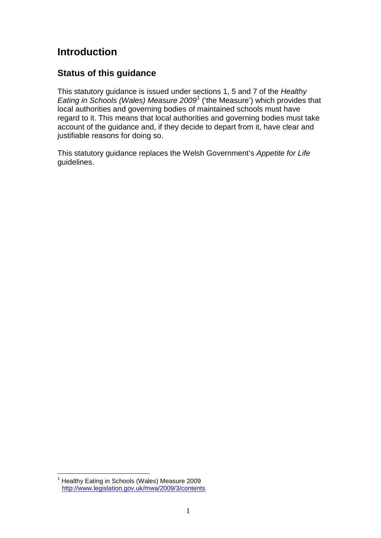## **Introduction**

## **Status of this guidance**

This statutory guidance is issued under sections 1, 5 and 7 of the *Healthy Eating in Schools (Wales) Measure 2009*[1](#page-3-0) ('the Measure') which provides that local authorities and governing bodies of maintained schools must have regard to it. This means that local authorities and governing bodies must take account of the guidance and, if they decide to depart from it, have clear and justifiable reasons for doing so.

This statutory guidance replaces the Welsh Government's *Appetite for Life*  guidelines.

<span id="page-3-0"></span><sup>&</sup>lt;sup>1</sup> Healthy Eating in Schools (Wales) Measure 2009 <http://www.legislation.gov.uk/mwa/2009/3/contents>  $\overline{a}$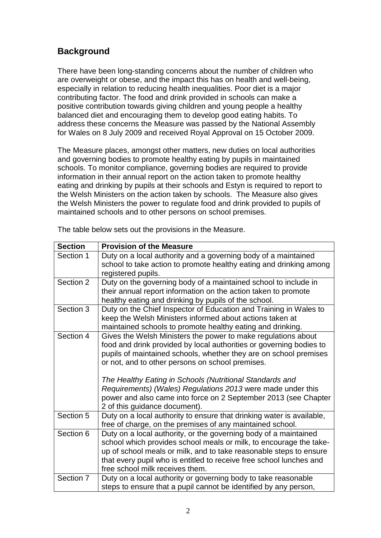## **Background**

There have been long-standing concerns about the number of children who are overweight or obese, and the impact this has on health and well-being, especially in relation to reducing health inequalities. Poor diet is a major contributing factor. The food and drink provided in schools can make a positive contribution towards giving children and young people a healthy balanced diet and encouraging them to develop good eating habits. To address these concerns the Measure was passed by the National Assembly for Wales on 8 July 2009 and received Royal Approval on 15 October 2009.

The Measure places, amongst other matters, new duties on local authorities and governing bodies to promote healthy eating by pupils in maintained schools. To monitor compliance, governing bodies are required to provide information in their annual report on the action taken to promote healthy eating and drinking by pupils at their schools and Estyn is required to report to the Welsh Ministers on the action taken by schools. The Measure also gives the Welsh Ministers the power to regulate food and drink provided to pupils of maintained schools and to other persons on school premises.

| <b>Section</b> | <b>Provision of the Measure</b>                                       |
|----------------|-----------------------------------------------------------------------|
| Section 1      | Duty on a local authority and a governing body of a maintained        |
|                | school to take action to promote healthy eating and drinking among    |
|                | registered pupils.                                                    |
| Section 2      | Duty on the governing body of a maintained school to include in       |
|                | their annual report information on the action taken to promote        |
|                | healthy eating and drinking by pupils of the school.                  |
| Section 3      | Duty on the Chief Inspector of Education and Training in Wales to     |
|                | keep the Welsh Ministers informed about actions taken at              |
|                | maintained schools to promote healthy eating and drinking.            |
| Section 4      | Gives the Welsh Ministers the power to make regulations about         |
|                | food and drink provided by local authorities or governing bodies to   |
|                | pupils of maintained schools, whether they are on school premises     |
|                | or not, and to other persons on school premises.                      |
|                | The Healthy Eating in Schools (Nutritional Standards and              |
|                | Requirements) (Wales) Regulations 2013 were made under this           |
|                | power and also came into force on 2 September 2013 (see Chapter       |
|                | 2 of this guidance document).                                         |
| Section 5      | Duty on a local authority to ensure that drinking water is available, |
|                | free of charge, on the premises of any maintained school.             |
| Section 6      | Duty on a local authority, or the governing body of a maintained      |
|                | school which provides school meals or milk, to encourage the take-    |
|                | up of school meals or milk, and to take reasonable steps to ensure    |
|                | that every pupil who is entitled to receive free school lunches and   |
|                | free school milk receives them.                                       |
| Section 7      | Duty on a local authority or governing body to take reasonable        |
|                | steps to ensure that a pupil cannot be identified by any person,      |

The table below sets out the provisions in the Measure.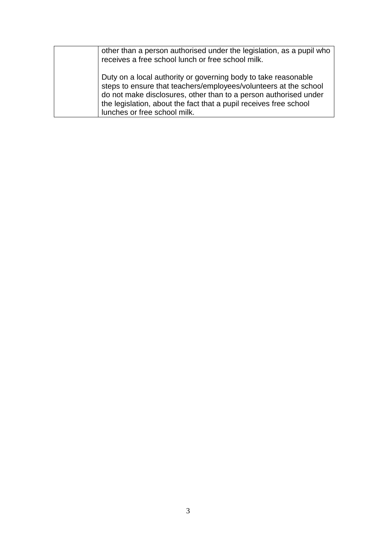| other than a person authorised under the legislation, as a pupil who<br>receives a free school lunch or free school milk.                                                                                                                                                                                   |
|-------------------------------------------------------------------------------------------------------------------------------------------------------------------------------------------------------------------------------------------------------------------------------------------------------------|
| Duty on a local authority or governing body to take reasonable<br>steps to ensure that teachers/employees/volunteers at the school<br>do not make disclosures, other than to a person authorised under<br>the legislation, about the fact that a pupil receives free school<br>lunches or free school milk. |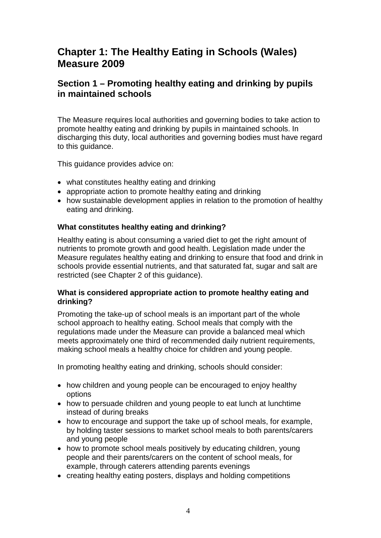## **Chapter 1: The Healthy Eating in Schools (Wales) Measure 2009**

## **Section 1 – Promoting healthy eating and drinking by pupils in maintained schools**

The Measure requires local authorities and governing bodies to take action to promote healthy eating and drinking by pupils in maintained schools. In discharging this duty, local authorities and governing bodies must have regard to this guidance.

This guidance provides advice on:

- what constitutes healthy eating and drinking
- appropriate action to promote healthy eating and drinking
- how sustainable development applies in relation to the promotion of healthy eating and drinking.

#### **What constitutes healthy eating and drinking?**

Healthy eating is about consuming a varied diet to get the right amount of nutrients to promote growth and good health. Legislation made under the Measure regulates healthy eating and drinking to ensure that food and drink in schools provide essential nutrients, and that saturated fat, sugar and salt are restricted (see Chapter 2 of this guidance).

#### **What is considered appropriate action to promote healthy eating and drinking?**

Promoting the take-up of school meals is an important part of the whole school approach to healthy eating. School meals that comply with the regulations made under the Measure can provide a balanced meal which meets approximately one third of recommended daily nutrient requirements, making school meals a healthy choice for children and young people.

In promoting healthy eating and drinking, schools should consider:

- how children and young people can be encouraged to enjoy healthy options
- how to persuade children and young people to eat lunch at lunchtime instead of during breaks
- how to encourage and support the take up of school meals, for example, by holding taster sessions to market school meals to both parents/carers and young people
- how to promote school meals positively by educating children, young people and their parents/carers on the content of school meals, for example, through caterers attending parents evenings
- creating healthy eating posters, displays and holding competitions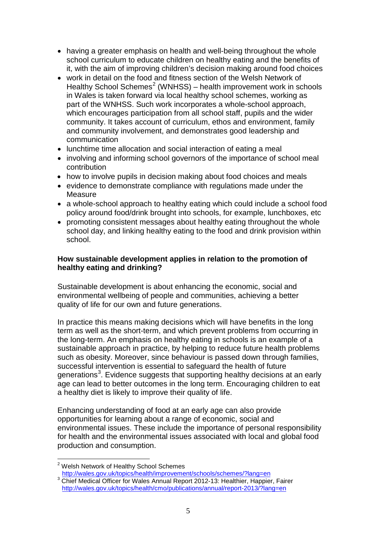- having a greater emphasis on health and well-being throughout the whole school curriculum to educate children on healthy eating and the benefits of it, with the aim of improving children's decision making around food choices
- work in detail on the food and fitness section of the Welsh Network of Healthy School Schemes<sup>[2](#page-7-0)</sup> (WNHSS) – health improvement work in schools in Wales is taken forward via local healthy school schemes, working as part of the WNHSS. Such work incorporates a whole-school approach, which encourages participation from all school staff, pupils and the wider community. It takes account of curriculum, ethos and environment, family and community involvement, and demonstrates good leadership and communication
- lunchtime time allocation and social interaction of eating a meal
- involving and informing school governors of the importance of school meal contribution
- how to involve pupils in decision making about food choices and meals
- evidence to demonstrate compliance with regulations made under the Measure
- a whole-school approach to healthy eating which could include a school food policy around food/drink brought into schools, for example, lunchboxes, etc
- promoting consistent messages about healthy eating throughout the whole school day, and linking healthy eating to the food and drink provision within school.

#### **How sustainable development applies in relation to the promotion of healthy eating and drinking?**

Sustainable development is about enhancing the economic, social and environmental wellbeing of people and communities, achieving a better quality of life for our own and future generations.

In practice this means making decisions which will have benefits in the long term as well as the short-term, and which prevent problems from occurring in the long-term. An emphasis on healthy eating in schools is an example of a sustainable approach in practice, by helping to reduce future health problems such as obesity. Moreover, since behaviour is passed down through families, successful intervention is essential to safeguard the health of future generations<sup>[3](#page-7-1)</sup>. Evidence suggests that supporting healthy decisions at an early age can lead to better outcomes in the long term. Encouraging children to eat a healthy diet is likely to improve their quality of life.

Enhancing understanding of food at an early age can also provide opportunities for learning about a range of economic, social and environmental issues. These include the importance of personal responsibility for health and the environmental issues associated with local and global food production and consumption.

<sup>&</sup>lt;sup>2</sup> Welsh Network of Healthy School Schemes  $\overline{a}$ 

<span id="page-7-0"></span>a <http://wales.gov.uk/topics/health/improvement/schools/schemes/?lang=en><br>3 Chief Medical Officer for Wales Annual Report 2012-13: Healthier, Happier, Fairer

<span id="page-7-1"></span><http://wales.gov.uk/topics/health/cmo/publications/annual/report-2013/?lang=en>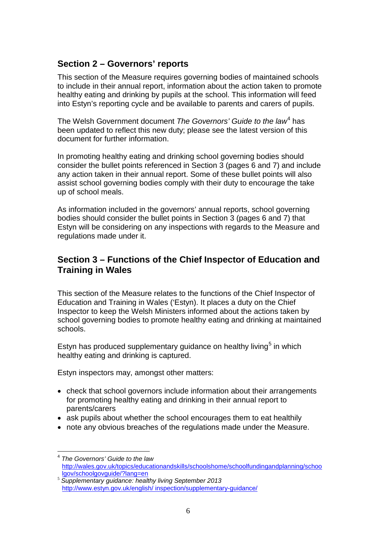## **Section 2 – Governors' reports**

This section of the Measure requires governing bodies of maintained schools to include in their annual report, information about the action taken to promote healthy eating and drinking by pupils at the school. This information will feed into Estyn's reporting cycle and be available to parents and carers of pupils.

The Welsh Government document *The Governors' Guide to the law*[4](#page-8-0) has been updated to reflect this new duty; please see the latest version of this document for further information.

In promoting healthy eating and drinking school governing bodies should consider the bullet points referenced in Section 3 (pages 6 and 7) and include any action taken in their annual report. Some of these bullet points will also assist school governing bodies comply with their duty to encourage the take up of school meals.

As information included in the governors' annual reports, school governing bodies should consider the bullet points in Section 3 (pages 6 and 7) that Estyn will be considering on any inspections with regards to the Measure and regulations made under it.

## **Section 3 – Functions of the Chief Inspector of Education and Training in Wales**

This section of the Measure relates to the functions of the Chief Inspector of Education and Training in Wales ('Estyn). It places a duty on the Chief Inspector to keep the Welsh Ministers informed about the actions taken by school governing bodies to promote healthy eating and drinking at maintained schools.

Estyn has produced supplementary guidance on healthy living<sup>[5](#page-8-1)</sup> in which healthy eating and drinking is captured.

Estyn inspectors may, amongst other matters:

 $\overline{a}$ 

- check that school governors include information about their arrangements for promoting healthy eating and drinking in their annual report to parents/carers
- ask pupils about whether the school encourages them to eat healthily
- note any obvious breaches of the regulations made under the Measure.

<span id="page-8-0"></span><sup>4</sup> *The Governors' Guide to the law* [http://wales.gov.uk/topics/educationandskills/schoolshome/schoolfundingandplanning/schoo](http://wales.gov.uk/topics/educationandskills/schoolshome/schoolfundingandplanning/schoolgov/schoolgovguide/?lang=en)lgovguide/?lang=en

<span id="page-8-1"></span><sup>&</sup>lt;sup>5</sup> Supplementary guidance: healthy living September 2013 [http://www.estyn.gov.uk/english/ inspection/supplementary-guidance/](http://www.estyn.gov.uk/english/%20inspection/supplementary-guidance/)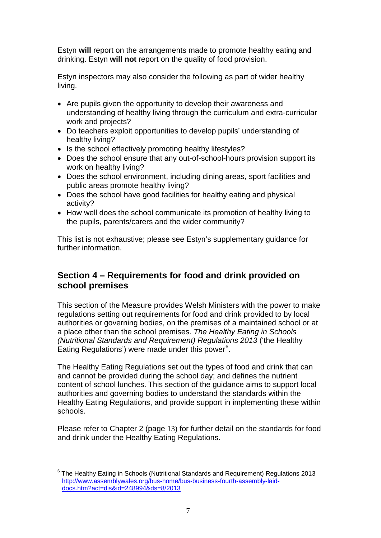Estyn **will** report on the arrangements made to promote healthy eating and drinking. Estyn **will not** report on the quality of food provision.

Estyn inspectors may also consider the following as part of wider healthy living.

- Are pupils given the opportunity to develop their awareness and understanding of healthy living through the curriculum and extra-curricular work and projects?
- Do teachers exploit opportunities to develop pupils' understanding of healthy living?
- Is the school effectively promoting healthy lifestyles?
- Does the school ensure that any out-of-school-hours provision support its work on healthy living?
- Does the school environment, including dining areas, sport facilities and public areas promote healthy living?
- Does the school have good facilities for healthy eating and physical activity?
- How well does the school communicate its promotion of healthy living to the pupils, parents/carers and the wider community?

This list is not exhaustive; please see Estyn's supplementary guidance for further information.

## **Section 4 – Requirements for food and drink provided on school premises**

This section of the Measure provides Welsh Ministers with the power to make regulations setting out requirements for food and drink provided to by local authorities or governing bodies, on the premises of a maintained school or at a place other than the school premises. *The Healthy Eating in Schools (Nutritional Standards and Requirement) Regulations 2013* ('the Healthy Eating Regulations') were made under this power<sup>[6](#page-9-0)</sup>.

The Healthy Eating Regulations set out the types of food and drink that can and cannot be provided during the school day; and defines the nutrient content of school lunches. This section of the guidance aims to support local authorities and governing bodies to understand the standards within the Healthy Eating Regulations, and provide support in implementing these within schools.

Please refer to Chapter 2 (page 13) for further detail on the standards for food and drink under the Healthy Eating Regulations.

<span id="page-9-0"></span> $^6$  The Healthy Eating in Schools (Nutritional Standards and Requirement) Regulations 2013 [http://www.assemblywales.org/bus-home/bus-business-fourth-assembly-laid](http://www.assemblywales.org/bus-home/bus-business-fourth-assembly-laid-docs.htm?act=dis&id=248994&ds=8/2013)[docs.htm?act=dis&id=248994&ds=8/2013](http://www.assemblywales.org/bus-home/bus-business-fourth-assembly-laid-docs.htm?act=dis&id=248994&ds=8/2013)  $\overline{\phantom{a}}$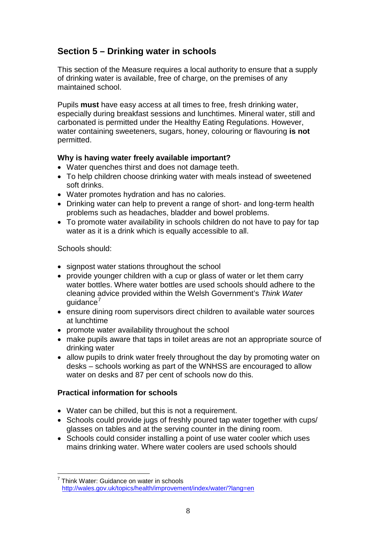## **Section 5 – Drinking water in schools**

This section of the Measure requires a local authority to ensure that a supply of drinking water is available, free of charge, on the premises of any maintained school.

Pupils **must** have easy access at all times to free, fresh drinking water, especially during breakfast sessions and lunchtimes. Mineral water, still and carbonated is permitted under the Healthy Eating Regulations. However, water containing sweeteners, sugars, honey, colouring or flavouring **is not** permitted.

#### **Why is having water freely available important?**

- Water quenches thirst and does not damage teeth.
- To help children choose drinking water with meals instead of sweetened soft drinks.
- Water promotes hydration and has no calories.
- Drinking water can help to prevent a range of short- and long-term health problems such as headaches, bladder and bowel problems.
- To promote water availability in schools children do not have to pay for tap water as it is a drink which is equally accessible to all.

Schools should:

- signpost water stations throughout the school
- provide younger children with a cup or glass of water or let them carry water bottles. Where water bottles are used schools should adhere to the cleaning advice provided within the Welsh Government's *Think Water*  guidance'
- ensure dining room supervisors direct children to available water sources at lunchtime
- promote water availability throughout the school
- make pupils aware that taps in toilet areas are not an appropriate source of drinking water
- allow pupils to drink water freely throughout the day by promoting water on desks – schools working as part of the WNHSS are encouraged to allow water on desks and 87 per cent of schools now do this.

#### **Practical information for schools**

- Water can be chilled, but this is not a requirement.
- Schools could provide jugs of freshly poured tap water together with cups/ glasses on tables and at the serving counter in the dining room.
- Schools could consider installing a point of use water cooler which uses mains drinking water. Where water coolers are used schools should

<span id="page-10-0"></span> $7$  Think Water: Guidance on water in schools <http://wales.gov.uk/topics/health/improvement/index/water/?lang=en>  $\overline{a}$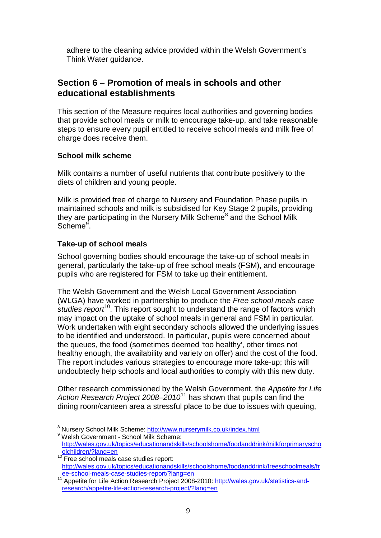adhere to the cleaning advice provided within the Welsh Government's Think Water guidance.

## **Section 6 – Promotion of meals in schools and other educational establishments**

This section of the Measure requires local authorities and governing bodies that provide school meals or milk to encourage take-up, and take reasonable steps to ensure every pupil entitled to receive school meals and milk free of charge does receive them.

#### **School milk scheme**

Milk contains a number of useful nutrients that contribute positively to the diets of children and young people.

Milk is provided free of charge to Nursery and Foundation Phase pupils in maintained schools and milk is subsidised for Key Stage 2 pupils, providing they are participating in the Nursery Milk Scheme<sup>[8](#page-11-0)</sup> and the School Milk Scheme<sup>[9](#page-11-1)</sup>.

#### **Take-up of school meals**

School governing bodies should encourage the take-up of school meals in general, particularly the take-up of free school meals (FSM), and encourage pupils who are registered for FSM to take up their entitlement.

The Welsh Government and the Welsh Local Government Association (WLGA) have worked in partnership to produce the *Free school meals case studies report*[10.](#page-11-2) This report sought to understand the range of factors which may impact on the uptake of school meals in general and FSM in particular. Work undertaken with eight secondary schools allowed the underlying issues to be identified and understood. In particular, pupils were concerned about the queues, the food (sometimes deemed 'too healthy', other times not healthy enough, the availability and variety on offer) and the cost of the food. The report includes various strategies to encourage more take-up; this will undoubtedly help schools and local authorities to comply with this new duty.

Other research commissioned by the Welsh Government, the *Appetite for Life Action Research Project 2008*–*2010*[11](#page-11-3) has shown that pupils can find the dining room/canteen area a stressful place to be due to issues with queuing,

<span id="page-11-0"></span><sup>&</sup>lt;sup>8</sup> Nursery School Milk Scheme:<http://www.nurserymilk.co.uk/index.html> 9 Welsh Government - School Milk Scheme:  $\overline{a}$ 

<span id="page-11-1"></span>[http://wales.gov.uk/topics/educationandskills/schoolshome/foodanddrink/milkforprimaryscho](http://wales.gov.uk/topics/educationandskills/schoolshome/foodanddrink/milkforprimaryschoolchildren/?lang=en)

<span id="page-11-2"></span> $10$  Free school meals case studies report: [http://wales.gov.uk/topics/educationandskills/schoolshome/foodanddrink/freeschoolmeals/fr](http://wales.gov.uk/topics/educationandskills/schoolshome/foodanddrink/freeschoolmeals/free-school-meals-case-studies-report/?lang=en)

<span id="page-11-3"></span><sup>&</sup>lt;sup>11</sup> Appetite for Life Action Research Project 2008-2010: [http://wales.gov.uk/statistics-and](http://wales.gov.uk/statistics-and-research/appetite-life-action-research-project/?lang=en)[research/appetite-life-action-research-project/?lang=en](http://wales.gov.uk/statistics-and-research/appetite-life-action-research-project/?lang=en)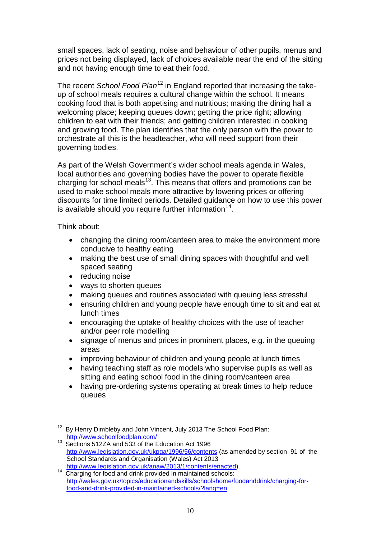small spaces, lack of seating, noise and behaviour of other pupils, menus and prices not being displayed, lack of choices available near the end of the sitting and not having enough time to eat their food.

The recent *School Food Plan*<sup>[12](#page-12-0)</sup> in England reported that increasing the takeup of school meals requires a cultural change within the school. It means cooking food that is both appetising and nutritious; making the dining hall a welcoming place; keeping queues down; getting the price right; allowing children to eat with their friends; and getting children interested in cooking and growing food. The plan identifies that the only person with the power to orchestrate all this is the headteacher, who will need support from their governing bodies.

As part of the Welsh Government's wider school meals agenda in Wales, local authorities and governing bodies have the power to operate flexible charging for school meals<sup>[13](#page-12-1)</sup>. This means that offers and promotions can be used to make school meals more attractive by lowering prices or offering discounts for time limited periods. Detailed guidance on how to use this power is available should you require further information  $14$ .

Think about:

- changing the dining room/canteen area to make the environment more conducive to healthy eating
- making the best use of small dining spaces with thoughtful and well spaced seating
- reducing noise
- ways to shorten queues
- making queues and routines associated with queuing less stressful
- ensuring children and young people have enough time to sit and eat at lunch times
- encouraging the uptake of healthy choices with the use of teacher and/or peer role modelling
- signage of menus and prices in prominent places, e.g. in the queuing areas
- improving behaviour of children and young people at lunch times
- having teaching staff as role models who supervise pupils as well as sitting and eating school food in the dining room/canteen area
- having pre-ordering systems operating at break times to help reduce queues

<span id="page-12-0"></span>By Henry Dimbleby and John Vincent, July 2013 The School Food Plan: <http://www.schoolfoodplan.com/><br><sup>13</sup> Sections 512ZA and 533 of the Education Act 1996  $\overline{\phantom{a}}$ 

<span id="page-12-1"></span><http://www.legislation.gov.uk/ukpga/1996/56/contents> (as amended by section 91 of the School Standards and Organisation (Wales) Act 2013

<span id="page-12-2"></span>[http://www.legislation.gov.uk/anaw/2013/1/contents/enacted\)](http://www.legislation.gov.uk/anaw/2013/1/contents/enacted).<br><sup>14</sup> Charging for food and drink provided in maintained schools: [http://wales.gov.uk/topics/educationandskills/schoolshome/foodanddrink/charging-for](http://wales.gov.uk/topics/educationandskills/schoolshome/foodanddrink/charging-for-food-and-drink-provided-in-maintained-schools/?lang=en)[food-and-drink-provided-in-maintained-schools/?lang=en](http://wales.gov.uk/topics/educationandskills/schoolshome/foodanddrink/charging-for-food-and-drink-provided-in-maintained-schools/?lang=en)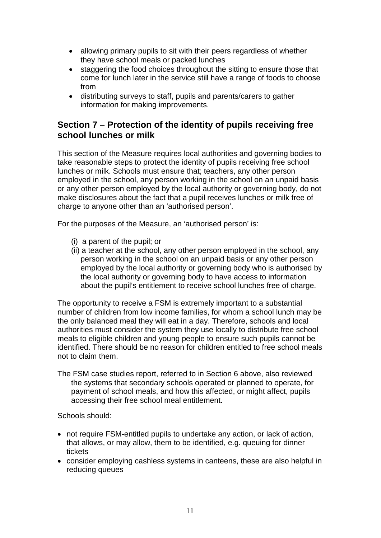- allowing primary pupils to sit with their peers regardless of whether they have school meals or packed lunches
- staggering the food choices throughout the sitting to ensure those that come for lunch later in the service still have a range of foods to choose from
- distributing surveys to staff, pupils and parents/carers to gather information for making improvements.

## **Section 7 – Protection of the identity of pupils receiving free school lunches or milk**

This section of the Measure requires local authorities and governing bodies to take reasonable steps to protect the identity of pupils receiving free school lunches or milk. Schools must ensure that; teachers, any other person employed in the school, any person working in the school on an unpaid basis or any other person employed by the local authority or governing body, do not make disclosures about the fact that a pupil receives lunches or milk free of charge to anyone other than an 'authorised person'.

For the purposes of the Measure, an 'authorised person' is:

- (i) a parent of the pupil; or
- (ii) a teacher at the school, any other person employed in the school, any person working in the school on an unpaid basis or any other person employed by the local authority or governing body who is authorised by the local authority or governing body to have access to information about the pupil's entitlement to receive school lunches free of charge.

The opportunity to receive a FSM is extremely important to a substantial number of children from low income families, for whom a school lunch may be the only balanced meal they will eat in a day. Therefore, schools and local authorities must consider the system they use locally to distribute free school meals to eligible children and young people to ensure such pupils cannot be identified. There should be no reason for children entitled to free school meals not to claim them.

The FSM case studies report, referred to in Section 6 above, also reviewed the systems that secondary schools operated or planned to operate, for payment of school meals, and how this affected, or might affect, pupils accessing their free school meal entitlement.

Schools should:

- not require FSM-entitled pupils to undertake any action, or lack of action, that allows, or may allow, them to be identified, e.g. queuing for dinner tickets
- consider employing cashless systems in canteens, these are also helpful in reducing queues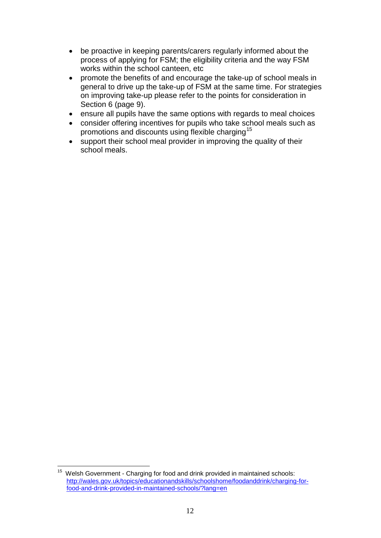- be proactive in keeping parents/carers regularly informed about the process of applying for FSM; the eligibility criteria and the way FSM works within the school canteen, etc
- promote the benefits of and encourage the take-up of school meals in general to drive up the take-up of FSM at the same time. For strategies on improving take-up please refer to the points for consideration in Section 6 (page 9).
- ensure all pupils have the same options with regards to meal choices
- consider offering incentives for pupils who take school meals such as promotions and discounts using flexible charging<sup>[15](#page-14-0)</sup>
- support their school meal provider in improving the quality of their school meals.

<span id="page-14-0"></span>Welsh Government - Charging for food and drink provided in maintained schools: [http://wales.gov.uk/topics/educationandskills/schoolshome/foodanddrink/charging-for](http://wales.gov.uk/topics/educationandskills/schoolshome/foodanddrink/charging-for-food-and-drink-provided-in-maintained-schools/?lang=en)[food-and-drink-provided-in-maintained-schools/?lang=en](http://wales.gov.uk/topics/educationandskills/schoolshome/foodanddrink/charging-for-food-and-drink-provided-in-maintained-schools/?lang=en) 15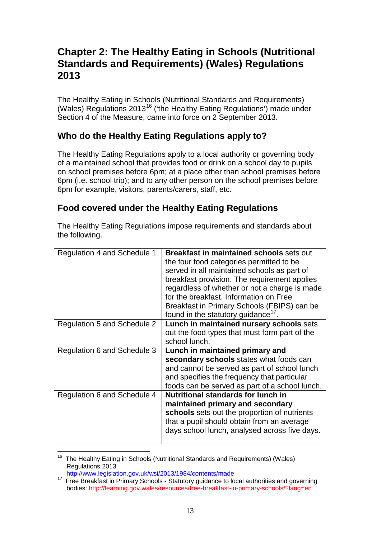## **Chapter 2: The Healthy Eating in Schools (Nutritional Standards and Requirements) (Wales) Regulations 2013**

The Healthy Eating in Schools (Nutritional Standards and Requirements) (Wales) Regulations 2013<sup>[16](#page-15-0)</sup> ('the Healthy Eating Regulations') made under Section 4 of the Measure, came into force on 2 September 2013.

## **Who do the Healthy Eating Regulations apply to?**

The Healthy Eating Regulations apply to a local authority or governing body of a maintained school that provides food or drink on a school day to pupils on school premises before 6pm; at a place other than school premises before 6pm (i.e. school trip); and to any other person on the school premises before 6pm for example, visitors, parents/carers, staff, etc.

## **Food covered under the Healthy Eating Regulations**

The Healthy Eating Regulations impose requirements and standards about the following.

| Regulation 4 and Schedule 1 | <b>Breakfast in maintained schools sets out</b><br>the four food categories permitted to be<br>served in all maintained schools as part of<br>breakfast provision. The requirement applies<br>regardless of whether or not a charge is made<br>for the breakfast. Information on Free<br>Breakfast in Primary Schools (FBIPS) can be<br>found in the statutory guidance <sup>17</sup> . |  |
|-----------------------------|-----------------------------------------------------------------------------------------------------------------------------------------------------------------------------------------------------------------------------------------------------------------------------------------------------------------------------------------------------------------------------------------|--|
| Regulation 5 and Schedule 2 | Lunch in maintained nursery schools sets                                                                                                                                                                                                                                                                                                                                                |  |
|                             | out the food types that must form part of the                                                                                                                                                                                                                                                                                                                                           |  |
|                             | school lunch.                                                                                                                                                                                                                                                                                                                                                                           |  |
| Regulation 6 and Schedule 3 | Lunch in maintained primary and                                                                                                                                                                                                                                                                                                                                                         |  |
|                             | secondary schools states what foods can                                                                                                                                                                                                                                                                                                                                                 |  |
|                             |                                                                                                                                                                                                                                                                                                                                                                                         |  |
|                             | and cannot be served as part of school lunch                                                                                                                                                                                                                                                                                                                                            |  |
|                             | and specifies the frequency that particular                                                                                                                                                                                                                                                                                                                                             |  |
|                             | foods can be served as part of a school lunch.                                                                                                                                                                                                                                                                                                                                          |  |
| Regulation 6 and Schedule 4 | <b>Nutritional standards for lunch in</b>                                                                                                                                                                                                                                                                                                                                               |  |
|                             | maintained primary and secondary                                                                                                                                                                                                                                                                                                                                                        |  |
|                             | schools sets out the proportion of nutrients                                                                                                                                                                                                                                                                                                                                            |  |
|                             | that a pupil should obtain from an average                                                                                                                                                                                                                                                                                                                                              |  |
|                             | days school lunch, analysed across five days.                                                                                                                                                                                                                                                                                                                                           |  |

<span id="page-15-0"></span><sup>&</sup>lt;sup>16</sup> The Healthy Eating in Schools (Nutritional Standards and Requirements) (Wales) Regulations 2013<br>http://www.legislation.gov.uk/wsi/2013/1984/contents/made  $\overline{\phantom{a}}$ 

<span id="page-15-1"></span><sup>&</sup>lt;sup>17</sup> Free Breakfast in Primary Schools - Statutory guidance to local authorities and governing bodies: http://learning.gov.wales/resources/free-breakfast-in-primary-schools/?lang=en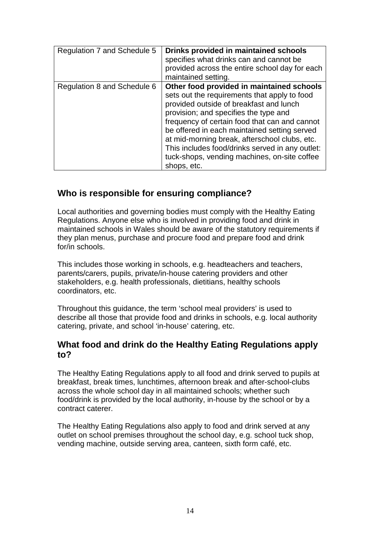| Regulation 7 and Schedule 5 | Drinks provided in maintained schools<br>specifies what drinks can and cannot be<br>provided across the entire school day for each<br>maintained setting.                                                                                                                                                                                                                                                                                         |
|-----------------------------|---------------------------------------------------------------------------------------------------------------------------------------------------------------------------------------------------------------------------------------------------------------------------------------------------------------------------------------------------------------------------------------------------------------------------------------------------|
| Regulation 8 and Schedule 6 | Other food provided in maintained schools<br>sets out the requirements that apply to food<br>provided outside of breakfast and lunch<br>provision; and specifies the type and<br>frequency of certain food that can and cannot<br>be offered in each maintained setting served<br>at mid-morning break, afterschool clubs, etc.<br>This includes food/drinks served in any outlet:<br>tuck-shops, vending machines, on-site coffee<br>shops, etc. |

## **Who is responsible for ensuring compliance?**

Local authorities and governing bodies must comply with the Healthy Eating Regulations. Anyone else who is involved in providing food and drink in maintained schools in Wales should be aware of the statutory requirements if they plan menus, purchase and procure food and prepare food and drink for/in schools.

This includes those working in schools, e.g. headteachers and teachers, parents/carers, pupils, private/in-house catering providers and other stakeholders, e.g. health professionals, dietitians, healthy schools coordinators, etc.

Throughout this guidance, the term 'school meal providers' is used to describe all those that provide food and drinks in schools, e.g. local authority catering, private, and school 'in-house' catering, etc.

## **What food and drink do the Healthy Eating Regulations apply to?**

The Healthy Eating Regulations apply to all food and drink served to pupils at breakfast, break times, lunchtimes, afternoon break and after-school-clubs across the whole school day in all maintained schools; whether such food/drink is provided by the local authority, in-house by the school or by a contract caterer.

The Healthy Eating Regulations also apply to food and drink served at any outlet on school premises throughout the school day, e.g. school tuck shop, vending machine, outside serving area, canteen, sixth form café, etc.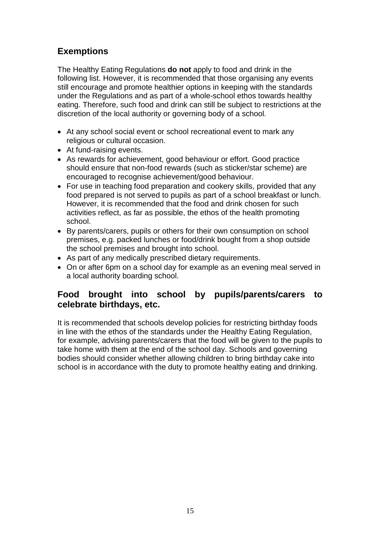## **Exemptions**

The Healthy Eating Regulations **do not** apply to food and drink in the following list. However, it is recommended that those organising any events still encourage and promote healthier options in keeping with the standards under the Regulations and as part of a whole-school ethos towards healthy eating. Therefore, such food and drink can still be subject to restrictions at the discretion of the local authority or governing body of a school.

- At any school social event or school recreational event to mark any religious or cultural occasion.
- At fund-raising events.
- As rewards for achievement, good behaviour or effort. Good practice should ensure that non-food rewards (such as sticker/star scheme) are encouraged to recognise achievement/good behaviour.
- For use in teaching food preparation and cookery skills, provided that any food prepared is not served to pupils as part of a school breakfast or lunch. However, it is recommended that the food and drink chosen for such activities reflect, as far as possible, the ethos of the health promoting school.
- By parents/carers, pupils or others for their own consumption on school premises, e.g. packed lunches or food/drink bought from a shop outside the school premises and brought into school.
- As part of any medically prescribed dietary requirements.
- On or after 6pm on a school day for example as an evening meal served in a local authority boarding school.

## **Food brought into school by pupils/parents/carers to celebrate birthdays, etc.**

It is recommended that schools develop policies for restricting birthday foods in line with the ethos of the standards under the Healthy Eating Regulation, for example, advising parents/carers that the food will be given to the pupils to take home with them at the end of the school day. Schools and governing bodies should consider whether allowing children to bring birthday cake into school is in accordance with the duty to promote healthy eating and drinking.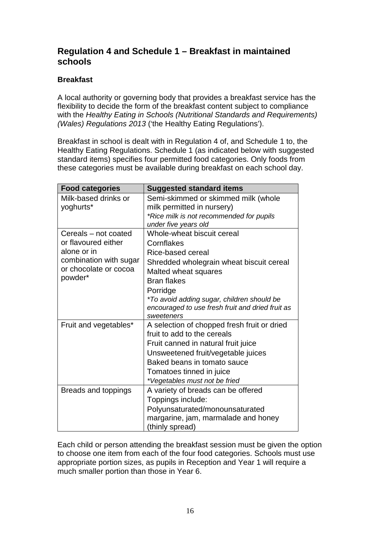## **Regulation 4 and Schedule 1 – Breakfast in maintained schools**

#### **Breakfast**

A local authority or governing body that provides a breakfast service has the flexibility to decide the form of the breakfast content subject to compliance with the *Healthy Eating in Schools (Nutritional Standards and Requirements) (Wales) Regulations 2013* ('the Healthy Eating Regulations').

Breakfast in school is dealt with in Regulation 4 of, and Schedule 1 to, the Healthy Eating Regulations. Schedule 1 (as indicated below with suggested standard items) specifies four permitted food categories. Only foods from these categories must be available during breakfast on each school day.

| <b>Food categories</b> | <b>Suggested standard items</b>                   |  |
|------------------------|---------------------------------------------------|--|
| Milk-based drinks or   | Semi-skimmed or skimmed milk (whole               |  |
| yoghurts*              | milk permitted in nursery)                        |  |
|                        | *Rice milk is not recommended for pupils          |  |
|                        | under five years old                              |  |
| Cereals - not coated   | Whole-wheat biscuit cereal                        |  |
| or flavoured either    | Cornflakes                                        |  |
| alone or in            | Rice-based cereal                                 |  |
| combination with sugar | Shredded wholegrain wheat biscuit cereal          |  |
| or chocolate or cocoa  | Malted wheat squares                              |  |
| powder*                | <b>Bran flakes</b>                                |  |
|                        | Porridge                                          |  |
|                        | <i>*To avoid adding sugar, children should be</i> |  |
|                        | encouraged to use fresh fruit and dried fruit as  |  |
|                        | sweeteners                                        |  |
| Fruit and vegetables*  | A selection of chopped fresh fruit or dried       |  |
|                        | fruit to add to the cereals                       |  |
|                        | Fruit canned in natural fruit juice               |  |
|                        | Unsweetened fruit/vegetable juices                |  |
|                        | Baked beans in tomato sauce                       |  |
|                        | Tomatoes tinned in juice                          |  |
|                        | *Vegetables must not be fried                     |  |
| Breads and toppings    | A variety of breads can be offered                |  |
|                        | Toppings include:                                 |  |
|                        | Polyunsaturated/monounsaturated                   |  |
|                        | margarine, jam, marmalade and honey               |  |
|                        | (thinly spread)                                   |  |

Each child or person attending the breakfast session must be given the option to choose one item from each of the four food categories. Schools must use appropriate portion sizes, as pupils in Reception and Year 1 will require a much smaller portion than those in Year 6.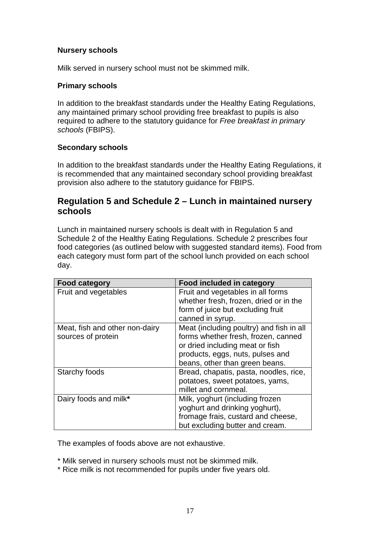#### **Nursery schools**

Milk served in nursery school must not be skimmed milk.

#### **Primary schools**

In addition to the breakfast standards under the Healthy Eating Regulations, any maintained primary school providing free breakfast to pupils is also required to adhere to the statutory guidance for *Free breakfast in primary schools* (FBIPS).

#### **Secondary schools**

In addition to the breakfast standards under the Healthy Eating Regulations, it is recommended that any maintained secondary school providing breakfast provision also adhere to the statutory guidance for FBIPS.

## **Regulation 5 and Schedule 2 – Lunch in maintained nursery schools**

Lunch in maintained nursery schools is dealt with in Regulation 5 and Schedule 2 of the Healthy Eating Regulations. Schedule 2 prescribes four food categories (as outlined below with suggested standard items). Food from each category must form part of the school lunch provided on each school day.

| <b>Food category</b>           | <b>Food included in category</b>         |
|--------------------------------|------------------------------------------|
| Fruit and vegetables           | Fruit and vegetables in all forms        |
|                                | whether fresh, frozen, dried or in the   |
|                                | form of juice but excluding fruit        |
|                                | canned in syrup.                         |
| Meat, fish and other non-dairy | Meat (including poultry) and fish in all |
| sources of protein             | forms whether fresh, frozen, canned      |
|                                | or dried including meat or fish          |
|                                | products, eggs, nuts, pulses and         |
|                                | beans, other than green beans.           |
| Starchy foods                  | Bread, chapatis, pasta, noodles, rice,   |
|                                | potatoes, sweet potatoes, yams,          |
|                                | millet and cornmeal.                     |
| Dairy foods and milk*          | Milk, yoghurt (including frozen          |
|                                | yoghurt and drinking yoghurt),           |
|                                | fromage frais, custard and cheese,       |
|                                | but excluding butter and cream.          |

The examples of foods above are not exhaustive.

\* Milk served in nursery schools must not be skimmed milk.

\* Rice milk is not recommended for pupils under five years old.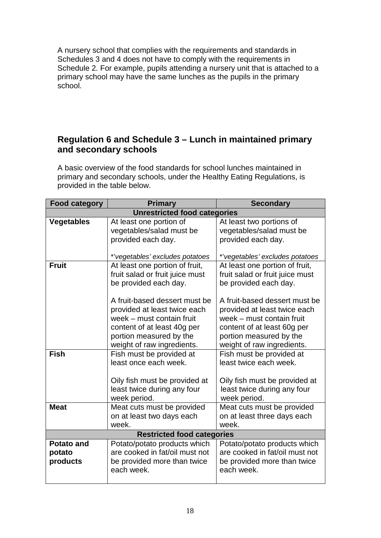A nursery school that complies with the requirements and standards in Schedules 3 and 4 does not have to comply with the requirements in Schedule 2. For example, pupils attending a nursery unit that is attached to a primary school may have the same lunches as the pupils in the primary school.

## **Regulation 6 and Schedule 3 – Lunch in maintained primary and secondary schools**

A basic overview of the food standards for school lunches maintained in primary and secondary schools, under the Healthy Eating Regulations, is provided in the table below.

| <b>Food category</b> | <b>Primary</b>                      | <b>Secondary</b>                |
|----------------------|-------------------------------------|---------------------------------|
|                      | <b>Unrestricted food categories</b> |                                 |
| <b>Vegetables</b>    | At least one portion of             | At least two portions of        |
|                      | vegetables/salad must be            | vegetables/salad must be        |
|                      | provided each day.                  | provided each day.              |
|                      |                                     |                                 |
|                      | *'vegetables' excludes potatoes     | *'vegetables' excludes potatoes |
| <b>Fruit</b>         | At least one portion of fruit,      | At least one portion of fruit,  |
|                      | fruit salad or fruit juice must     | fruit salad or fruit juice must |
|                      | be provided each day.               | be provided each day.           |
|                      |                                     |                                 |
|                      | A fruit-based dessert must be       | A fruit-based dessert must be   |
|                      | provided at least twice each        | provided at least twice each    |
|                      | week - must contain fruit           | week – must contain fruit       |
|                      | content of at least 40g per         | content of at least 60g per     |
|                      | portion measured by the             | portion measured by the         |
|                      | weight of raw ingredients.          | weight of raw ingredients.      |
| <b>Fish</b>          | Fish must be provided at            | Fish must be provided at        |
|                      | least once each week.               | least twice each week.          |
|                      |                                     |                                 |
|                      | Oily fish must be provided at       | Oily fish must be provided at   |
|                      | least twice during any four         | least twice during any four     |
|                      | week period.                        | week period.                    |
| <b>Meat</b>          | Meat cuts must be provided          | Meat cuts must be provided      |
|                      | on at least two days each           | on at least three days each     |
|                      | week.                               | week.                           |
|                      | <b>Restricted food categories</b>   |                                 |
| <b>Potato and</b>    | Potato/potato products which        | Potato/potato products which    |
| potato               | are cooked in fat/oil must not      | are cooked in fat/oil must not  |
| products             | be provided more than twice         | be provided more than twice     |
|                      | each week.                          | each week.                      |
|                      |                                     |                                 |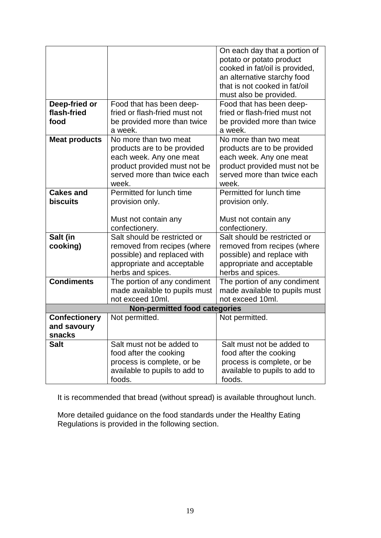|                                      |                               | On each day that a portion of  |  |
|--------------------------------------|-------------------------------|--------------------------------|--|
|                                      |                               | potato or potato product       |  |
|                                      |                               | cooked in fat/oil is provided, |  |
|                                      |                               | an alternative starchy food    |  |
|                                      |                               | that is not cooked in fat/oil  |  |
|                                      |                               | must also be provided.         |  |
| Deep-fried or                        |                               | Food that has been deep-       |  |
|                                      | Food that has been deep-      |                                |  |
| flash-fried                          | fried or flash-fried must not | fried or flash-fried must not  |  |
| food                                 | be provided more than twice   | be provided more than twice    |  |
|                                      | a week.                       | a week.                        |  |
| <b>Meat products</b>                 | No more than two meat         | No more than two meat          |  |
|                                      | products are to be provided   | products are to be provided    |  |
|                                      | each week. Any one meat       | each week. Any one meat        |  |
|                                      | product provided must not be  | product provided must not be   |  |
|                                      | served more than twice each   | served more than twice each    |  |
|                                      | week.                         | week.                          |  |
| <b>Cakes and</b>                     | Permitted for lunch time      | Permitted for lunch time       |  |
| <b>biscuits</b>                      | provision only.               | provision only.                |  |
|                                      |                               |                                |  |
|                                      | Must not contain any          | Must not contain any           |  |
|                                      | confectionery.                | confectionery.                 |  |
| Salt (in                             | Salt should be restricted or  | Salt should be restricted or   |  |
| cooking)                             | removed from recipes (where   | removed from recipes (where    |  |
|                                      | possible) and replaced with   | possible) and replace with     |  |
|                                      |                               |                                |  |
|                                      | appropriate and acceptable    | appropriate and acceptable     |  |
|                                      | herbs and spices.             | herbs and spices.              |  |
| <b>Condiments</b>                    | The portion of any condiment  | The portion of any condiment   |  |
|                                      | made available to pupils must | made available to pupils must  |  |
|                                      | not exceed 10ml.              | not exceed 10ml.               |  |
| <b>Non-permitted food categories</b> |                               |                                |  |
| <b>Confectionery</b>                 | Not permitted.                | Not permitted.                 |  |
| and savoury                          |                               |                                |  |
| snacks                               |                               |                                |  |
| <b>Salt</b>                          | Salt must not be added to     | Salt must not be added to      |  |
|                                      | food after the cooking        | food after the cooking         |  |
|                                      | process is complete, or be    | process is complete, or be     |  |
|                                      | available to pupils to add to | available to pupils to add to  |  |
|                                      | foods.                        | foods.                         |  |
|                                      |                               |                                |  |

It is recommended that bread (without spread) is available throughout lunch.

More detailed guidance on the food standards under the Healthy Eating Regulations is provided in the following section.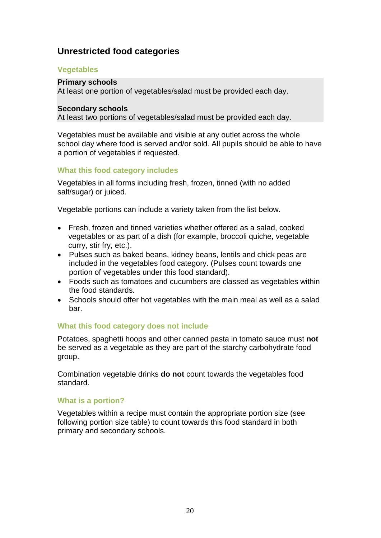## **Unrestricted food categories**

#### **Vegetables**

#### **Primary schools**

At least one portion of vegetables/salad must be provided each day.

#### **Secondary schools**

At least two portions of vegetables/salad must be provided each day.

Vegetables must be available and visible at any outlet across the whole school day where food is served and/or sold. All pupils should be able to have a portion of vegetables if requested.

#### **What this food category includes**

Vegetables in all forms including fresh, frozen, tinned (with no added salt/sugar) or juiced.

Vegetable portions can include a variety taken from the list below.

- Fresh, frozen and tinned varieties whether offered as a salad, cooked vegetables or as part of a dish (for example, broccoli quiche, vegetable curry, stir fry, etc.).
- Pulses such as baked beans, kidney beans, lentils and chick peas are included in the vegetables food category. (Pulses count towards one portion of vegetables under this food standard).
- Foods such as tomatoes and cucumbers are classed as vegetables within the food standards.
- Schools should offer hot vegetables with the main meal as well as a salad bar.

#### **What this food category does not include**

Potatoes, spaghetti hoops and other canned pasta in tomato sauce must **not** be served as a vegetable as they are part of the starchy carbohydrate food group.

Combination vegetable drinks **do not** count towards the vegetables food standard.

#### **What is a portion?**

Vegetables within a recipe must contain the appropriate portion size (see following portion size table) to count towards this food standard in both primary and secondary schools.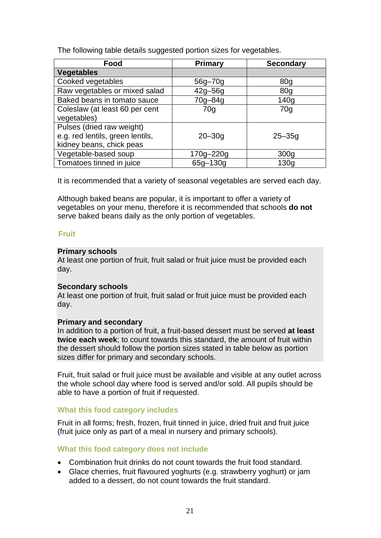The following table details suggested portion sizes for vegetables.

| Food                             | <b>Primary</b>  | <b>Secondary</b> |
|----------------------------------|-----------------|------------------|
| <b>Vegetables</b>                |                 |                  |
| Cooked vegetables                | 56g-70g         | 80 <sub>g</sub>  |
| Raw vegetables or mixed salad    | $42g - 56g$     | 80 <sub>q</sub>  |
| Baked beans in tomato sauce      | 70g-84g         | 140 <sub>g</sub> |
| Coleslaw (at least 60 per cent   | 70 <sub>q</sub> | 70g              |
| vegetables)                      |                 |                  |
| Pulses (dried raw weight)        |                 |                  |
| e.g. red lentils, green lentils, | $20 - 30g$      | $25 - 35g$       |
| kidney beans, chick peas         |                 |                  |
| Vegetable-based soup             | 170g-220g       | 300 <sub>g</sub> |
| Tomatoes tinned in juice         | 65g-130g        | 130 <sub>g</sub> |

It is recommended that a variety of seasonal vegetables are served each day.

Although baked beans are popular, it is important to offer a variety of vegetables on your menu, therefore it is recommended that schools **do not** serve baked beans daily as the only portion of vegetables.

#### **Fruit**

#### **Primary schools**

At least one portion of fruit, fruit salad or fruit juice must be provided each day.

#### **Secondary schools**

At least one portion of fruit, fruit salad or fruit juice must be provided each day.

#### **Primary and secondary**

In addition to a portion of fruit, a fruit-based dessert must be served **at least twice each week**; to count towards this standard, the amount of fruit within the dessert should follow the portion sizes stated in table below as portion sizes differ for primary and secondary schools.

Fruit, fruit salad or fruit juice must be available and visible at any outlet across the whole school day where food is served and/or sold. All pupils should be able to have a portion of fruit if requested.

#### **What this food category includes**

Fruit in all forms; fresh, frozen, fruit tinned in juice, dried fruit and fruit juice (fruit juice only as part of a meal in nursery and primary schools).

#### **What this food category does not include**

- Combination fruit drinks do not count towards the fruit food standard.
- Glace cherries, fruit flavoured yoghurts (e.g. strawberry yoghurt) or jam added to a dessert, do not count towards the fruit standard.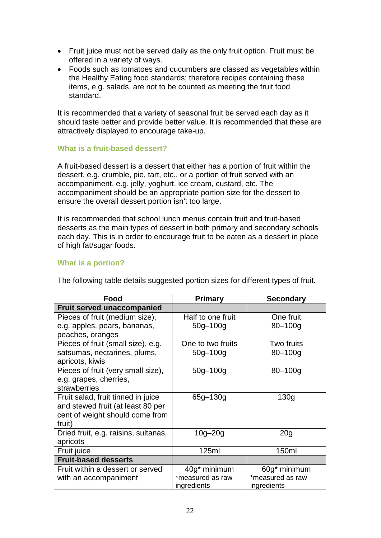- Fruit juice must not be served daily as the only fruit option. Fruit must be offered in a variety of ways.
- Foods such as tomatoes and cucumbers are classed as vegetables within the Healthy Eating food standards; therefore recipes containing these items, e.g. salads, are not to be counted as meeting the fruit food standard.

It is recommended that a variety of seasonal fruit be served each day as it should taste better and provide better value. It is recommended that these are attractively displayed to encourage take-up.

#### **What is a fruit-based dessert?**

A fruit-based dessert is a dessert that either has a portion of fruit within the dessert, e.g. crumble, pie, tart, etc., or a portion of fruit served with an accompaniment, e.g. jelly, yoghurt, ice cream, custard, etc. The accompaniment should be an appropriate portion size for the dessert to ensure the overall dessert portion isn't too large.

It is recommended that school lunch menus contain fruit and fruit-based desserts as the main types of dessert in both primary and secondary schools each day. This is in order to encourage fruit to be eaten as a dessert in place of high fat/sugar foods.

#### **What is a portion?**

| Food                                 | <b>Primary</b>    | <b>Secondary</b> |
|--------------------------------------|-------------------|------------------|
| <b>Fruit served unaccompanied</b>    |                   |                  |
| Pieces of fruit (medium size),       | Half to one fruit | One fruit        |
| e.g. apples, pears, bananas,         | $50g - 100g$      | $80 - 100q$      |
| peaches, oranges                     |                   |                  |
| Pieces of fruit (small size), e.g.   | One to two fruits | Two fruits       |
| satsumas, nectarines, plums,         | $50g - 100g$      | $80 - 100$ g     |
| apricots, kiwis                      |                   |                  |
| Pieces of fruit (very small size),   | $50g - 100g$      | $80 - 100$ g     |
| e.g. grapes, cherries,               |                   |                  |
| strawberries                         |                   |                  |
| Fruit salad, fruit tinned in juice   | 65g-130g          | 130 <sub>g</sub> |
| and stewed fruit (at least 80 per    |                   |                  |
| cent of weight should come from      |                   |                  |
| fruit)                               |                   |                  |
| Dried fruit, e.g. raisins, sultanas, | $10g - 20g$       | 20 <sub>g</sub>  |
| apricots                             |                   |                  |
| Fruit juice                          | 125ml             | 150ml            |
| <b>Fruit-based desserts</b>          |                   |                  |
| Fruit within a dessert or served     | 40g* minimum      | 60g* minimum     |
| with an accompaniment                | *measured as raw  | *measured as raw |
|                                      | ingredients       | ingredients      |

The following table details suggested portion sizes for different types of fruit.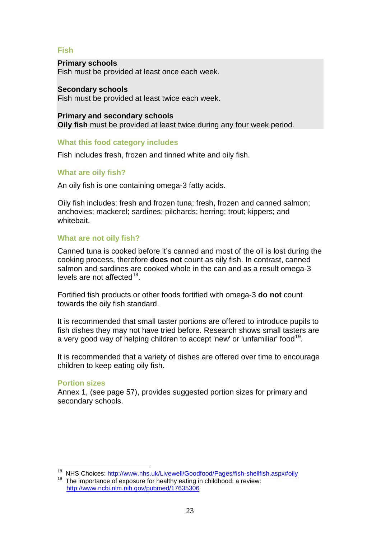#### **Fish**

#### **Primary schools**

Fish must be provided at least once each week.

#### **Secondary schools**

Fish must be provided at least twice each week.

#### **Primary and secondary schools Oily fish** must be provided at least twice during any four week period.

#### **What this food category includes**

Fish includes fresh, frozen and tinned white and oily fish.

#### **What are oily fish?**

An oily fish is one containing omega-3 fatty acids.

Oily fish includes: fresh and frozen tuna; fresh, frozen and canned salmon; anchovies; mackerel; sardines; pilchards; herring; trout; kippers; and whitebait.

#### **What are not oily fish?**

Canned tuna is cooked before it's canned and most of the oil is lost during the cooking process, therefore **does not** count as oily fish. In contrast, canned salmon and sardines are cooked whole in the can and as a result omega-3 levels are not affected $18$ .

Fortified fish products or other foods fortified with omega-3 **do not** count towards the oily fish standard.

It is recommended that small taster portions are offered to introduce pupils to fish dishes they may not have tried before. Research shows small tasters are a very good way of helping children to accept 'new' or 'unfamiliar' food<sup>[19](#page-25-1)</sup>.

It is recommended that a variety of dishes are offered over time to encourage children to keep eating oily fish.

#### **Portion sizes**

 $\overline{\phantom{a}}$ 

Annex 1, (see page 57), provides suggested portion sizes for primary and secondary schools.

<span id="page-25-1"></span><span id="page-25-0"></span><sup>&</sup>lt;sup>18</sup> NHS Choices: <u>http://www.nhs.uk/Livewell/Goodfood/Pages/fish-shellfish.aspx#oily</u><br><sup>19</sup> The importance of exposure for healthy eating in childhood: a review:

<http://www.ncbi.nlm.nih.gov/pubmed/17635306>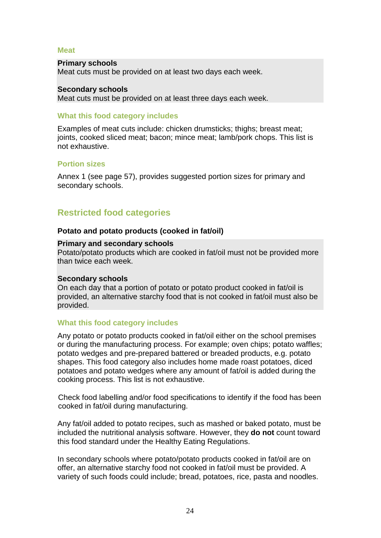#### **Meat**

#### **Primary schools**

Meat cuts must be provided on at least two days each week.

#### **Secondary schools** Meat cuts must be provided on at least three days each week.

#### **What this food category includes**

Examples of meat cuts include: chicken drumsticks; thighs; breast meat; joints, cooked sliced meat; bacon; mince meat; lamb/pork chops. This list is not exhaustive.

#### **Portion sizes**

Annex 1 (see page 57), provides suggested portion sizes for primary and secondary schools.

## **Restricted food categories**

#### **Potato and potato products (cooked in fat/oil)**

#### **Primary and secondary schools**

Potato/potato products which are cooked in fat/oil must not be provided more than twice each week.

#### **Secondary schools**

On each day that a portion of potato or potato product cooked in fat/oil is provided, an alternative starchy food that is not cooked in fat/oil must also be provided.

#### **What this food category includes**

Any potato or potato products cooked in fat/oil either on the school premises or during the manufacturing process. For example; oven chips; potato waffles; potato wedges and pre-prepared battered or breaded products, e.g. potato shapes. This food category also includes home made roast potatoes, diced potatoes and potato wedges where any amount of fat/oil is added during the cooking process. This list is not exhaustive.

Check food labelling and/or food specifications to identify if the food has been cooked in fat/oil during manufacturing.

Any fat/oil added to potato recipes, such as mashed or baked potato, must be included the nutritional analysis software. However, they **do not** count toward this food standard under the Healthy Eating Regulations.

In secondary schools where potato/potato products cooked in fat/oil are on offer, an alternative starchy food not cooked in fat/oil must be provided. A variety of such foods could include; bread, potatoes, rice, pasta and noodles.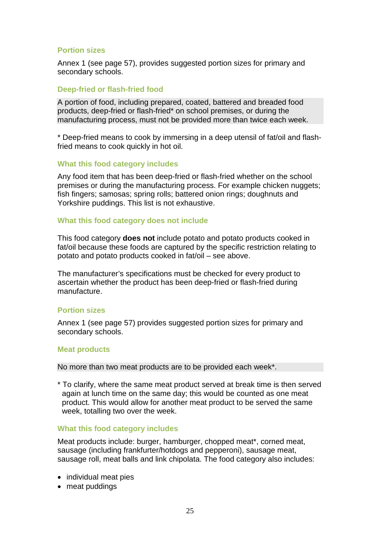#### **Portion sizes**

Annex 1 (see page 57), provides suggested portion sizes for primary and secondary schools.

#### **Deep-fried or flash-fried food**

A portion of food, including prepared, coated, battered and breaded food products, deep-fried or flash-fried\* on school premises, or during the manufacturing process, must not be provided more than twice each week.

\* Deep-fried means to cook by immersing in a deep utensil of fat/oil and flashfried means to cook quickly in hot oil.

#### **What this food category includes**

Any food item that has been deep-fried or flash-fried whether on the school premises or during the manufacturing process. For example chicken nuggets; fish fingers; samosas; spring rolls; battered onion rings; doughnuts and Yorkshire puddings. This list is not exhaustive.

#### **What this food category does not include**

This food category **does not** include potato and potato products cooked in fat/oil because these foods are captured by the specific restriction relating to potato and potato products cooked in fat/oil – see above.

The manufacturer's specifications must be checked for every product to ascertain whether the product has been deep-fried or flash-fried during manufacture.

#### **Portion sizes**

Annex 1 (see page 57) provides suggested portion sizes for primary and secondary schools.

#### **Meat products**

No more than two meat products are to be provided each week\*.

\* To clarify, where the same meat product served at break time is then served again at lunch time on the same day; this would be counted as one meat product. This would allow for another meat product to be served the same week, totalling two over the week.

#### **What this food category includes**

Meat products include: burger, hamburger, chopped meat\*, corned meat, sausage (including frankfurter/hotdogs and pepperoni), sausage meat, sausage roll, meat balls and link chipolata. The food category also includes:

- individual meat pies
- meat puddings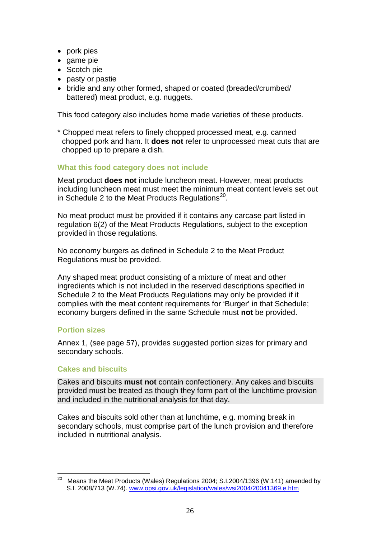- pork pies
- game pie
- Scotch pie
- pasty or pastie
- bridie and any other formed, shaped or coated (breaded/crumbed/ battered) meat product, e.g. nuggets.

This food category also includes home made varieties of these products.

\* Chopped meat refers to finely chopped processed meat, e.g. canned chopped pork and ham. It **does not** refer to unprocessed meat cuts that are chopped up to prepare a dish.

#### **What this food category does not include**

Meat product **does not** include luncheon meat. However, meat products including luncheon meat must meet the minimum meat content levels set out in Schedule 2 to the Meat Products Regulations $^{20}$ .

No meat product must be provided if it contains any carcase part listed in regulation 6(2) of the Meat Products Regulations, subject to the exception provided in those regulations.

No economy burgers as defined in Schedule 2 to the Meat Product Regulations must be provided.

Any shaped meat product consisting of a mixture of meat and other ingredients which is not included in the reserved descriptions specified in Schedule 2 to the Meat Products Regulations may only be provided if it complies with the meat content requirements for 'Burger' in that Schedule; economy burgers defined in the same Schedule must **not** be provided.

#### **Portion sizes**

Annex 1, (see page 57), provides suggested portion sizes for primary and secondary schools.

#### **Cakes and biscuits**

Cakes and biscuits **must not** contain confectionery. Any cakes and biscuits provided must be treated as though they form part of the lunchtime provision and included in the nutritional analysis for that day.

Cakes and biscuits sold other than at lunchtime, e.g. morning break in secondary schools, must comprise part of the lunch provision and therefore included in nutritional analysis.

<span id="page-28-0"></span><sup>20</sup> Means the Meat Products (Wales) Regulations 2004; S.I.2004/1396 (W.141) amended by S.I. 2008/713 (W.74). [www.opsi.gov.uk/legislation/wales/wsi2004/20041369.e.htm](http://www.opsi.gov.uk/legislation/wales/wsi2004/20041369.e.htm) 20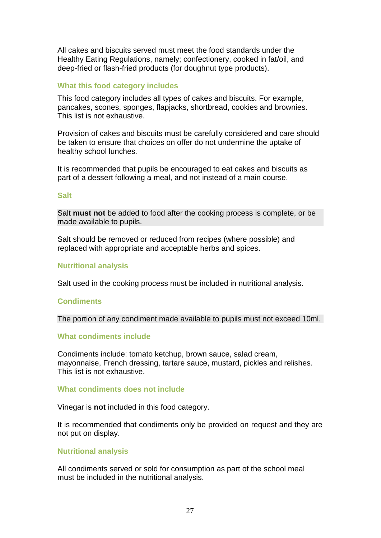All cakes and biscuits served must meet the food standards under the Healthy Eating Regulations, namely; confectionery, cooked in fat/oil, and deep-fried or flash-fried products (for doughnut type products).

#### **What this food category includes**

This food category includes all types of cakes and biscuits. For example, pancakes, scones, sponges, flapjacks, shortbread, cookies and brownies. This list is not exhaustive.

Provision of cakes and biscuits must be carefully considered and care should be taken to ensure that choices on offer do not undermine the uptake of healthy school lunches.

It is recommended that pupils be encouraged to eat cakes and biscuits as part of a dessert following a meal, and not instead of a main course.

#### **Salt**

Salt **must not** be added to food after the cooking process is complete, or be made available to pupils.

Salt should be removed or reduced from recipes (where possible) and replaced with appropriate and acceptable herbs and spices.

#### **Nutritional analysis**

Salt used in the cooking process must be included in nutritional analysis.

#### **Condiments**

The portion of any condiment made available to pupils must not exceed 10ml.

#### **What condiments include**

Condiments include: tomato ketchup, brown sauce, salad cream, mayonnaise, French dressing, tartare sauce, mustard, pickles and relishes. This list is not exhaustive.

#### **What condiments does not include**

Vinegar is **not** included in this food category.

It is recommended that condiments only be provided on request and they are not put on display.

#### **Nutritional analysis**

All condiments served or sold for consumption as part of the school meal must be included in the nutritional analysis.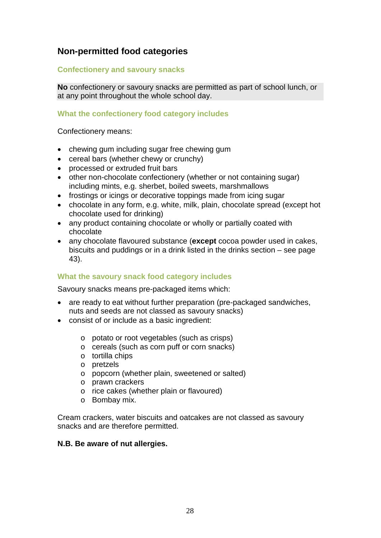## **Non-permitted food categories**

#### **Confectionery and savoury snacks**

**No** confectionery or savoury snacks are permitted as part of school lunch, or at any point throughout the whole school day.

#### **What the confectionery food category includes**

Confectionery means:

- chewing gum including sugar free chewing gum
- cereal bars (whether chewy or crunchy)
- processed or extruded fruit bars
- other non-chocolate confectionery (whether or not containing sugar) including mints, e.g. sherbet, boiled sweets, marshmallows
- frostings or icings or decorative toppings made from icing sugar
- chocolate in any form, e.g. white, milk, plain, chocolate spread (except hot chocolate used for drinking)
- any product containing chocolate or wholly or partially coated with chocolate
- any chocolate flavoured substance (**except** cocoa powder used in cakes, biscuits and puddings or in a drink listed in the drinks section – see page 43).

#### **What the savoury snack food category includes**

Savoury snacks means pre-packaged items which:

- are ready to eat without further preparation (pre-packaged sandwiches, nuts and seeds are not classed as savoury snacks)
- consist of or include as a basic ingredient:
	- o potato or root vegetables (such as crisps)
	- o cereals (such as corn puff or corn snacks)
	- o tortilla chips
	- o pretzels
	- o popcorn (whether plain, sweetened or salted)
	- o prawn crackers
	- o rice cakes (whether plain or flavoured)
	- o Bombay mix.

Cream crackers, water biscuits and oatcakes are not classed as savoury snacks and are therefore permitted.

#### **N.B. Be aware of nut allergies.**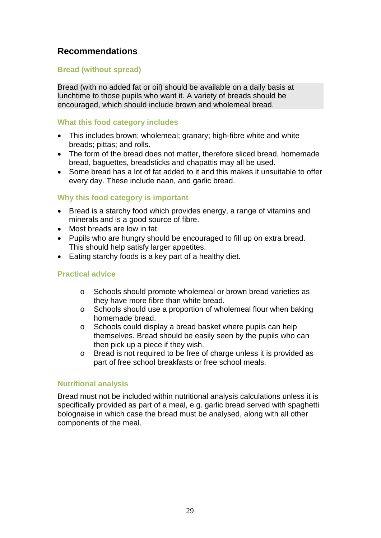## **Recommendations**

#### **Bread (without spread)**

Bread (with no added fat or oil) should be available on a daily basis at lunchtime to those pupils who want it. A variety of breads should be encouraged, which should include brown and wholemeal bread.

#### **What this food category includes**

- This includes brown; wholemeal; granary; high-fibre white and white breads; pittas; and rolls.
- The form of the bread does not matter, therefore sliced bread, homemade bread, baguettes, breadsticks and chapattis may all be used.
- Some bread has a lot of fat added to it and this makes it unsuitable to offer every day. These include naan, and garlic bread.

#### **Why this food category is important**

- Bread is a starchy food which provides energy, a range of vitamins and minerals and is a good source of fibre.
- Most breads are low in fat.
- Pupils who are hungry should be encouraged to fill up on extra bread. This should help satisfy larger appetites.
- Eating starchy foods is a key part of a healthy diet.

#### **Practical advice**

- o Schools should promote wholemeal or brown bread varieties as they have more fibre than white bread.
- o Schools should use a proportion of wholemeal flour when baking homemade bread.
- o Schools could display a bread basket where pupils can help themselves. Bread should be easily seen by the pupils who can then pick up a piece if they wish.
- o Bread is not required to be free of charge unless it is provided as part of free school breakfasts or free school meals.

#### **Nutritional analysis**

Bread must not be included within nutritional analysis calculations unless it is specifically provided as part of a meal, e.g. garlic bread served with spaghetti bolognaise in which case the bread must be analysed, along with all other components of the meal.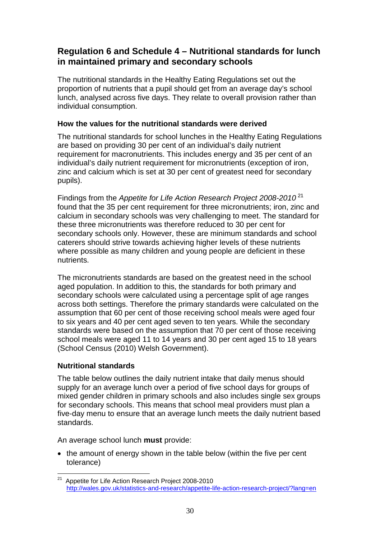## **Regulation 6 and Schedule 4 – Nutritional standards for lunch in maintained primary and secondary schools**

The nutritional standards in the Healthy Eating Regulations set out the proportion of nutrients that a pupil should get from an average day's school lunch, analysed across five days. They relate to overall provision rather than individual consumption.

#### **How the values for the nutritional standards were derived**

The nutritional standards for school lunches in the Healthy Eating Regulations are based on providing 30 per cent of an individual's daily nutrient requirement for macronutrients. This includes energy and 35 per cent of an individual's daily nutrient requirement for micronutrients (exception of iron, zinc and calcium which is set at 30 per cent of greatest need for secondary pupils).

Findings from the *Appetite for Life Action Research Project 2008-2010* [21](#page-32-0) found that the 35 per cent requirement for three micronutrients; iron, zinc and calcium in secondary schools was very challenging to meet. The standard for these three micronutrients was therefore reduced to 30 per cent for secondary schools only. However, these are minimum standards and school caterers should strive towards achieving higher levels of these nutrients where possible as many children and young people are deficient in these nutrients.

The micronutrients standards are based on the greatest need in the school aged population. In addition to this, the standards for both primary and secondary schools were calculated using a percentage split of age ranges across both settings. Therefore the primary standards were calculated on the assumption that 60 per cent of those receiving school meals were aged four to six years and 40 per cent aged seven to ten years. While the secondary standards were based on the assumption that 70 per cent of those receiving school meals were aged 11 to 14 years and 30 per cent aged 15 to 18 years (School Census (2010) Welsh Government).

#### **Nutritional standards**

The table below outlines the daily nutrient intake that daily menus should supply for an average lunch over a period of five school days for groups of mixed gender children in primary schools and also includes single sex groups for secondary schools. This means that school meal providers must plan a five-day menu to ensure that an average lunch meets the daily nutrient based standards.

An average school lunch **must** provide:

• the amount of energy shown in the table below (within the five per cent tolerance)

<span id="page-32-0"></span><sup>&</sup>lt;sup>21</sup> Appetite for Life Action Research Project 2008-2010 <http://wales.gov.uk/statistics-and-research/appetite-life-action-research-project/?lang=en>  $\overline{a}$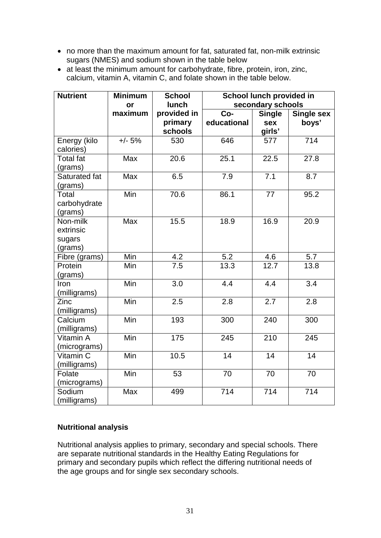- no more than the maximum amount for fat, saturated fat, non-milk extrinsic sugars (NMES) and sodium shown in the table below
- at least the minimum amount for carbohydrate, fibre, protein, iron, zinc, calcium, vitamin A, vitamin C, and folate shown in the table below.

| <b>Nutrient</b>  | <b>Minimum</b> | <b>School</b>    |                  | School lunch provided in |                   |  |  |
|------------------|----------------|------------------|------------------|--------------------------|-------------------|--|--|
|                  | or             | lunch            |                  | secondary schools        |                   |  |  |
|                  | maximum        | provided in      | Co-              | <b>Single</b>            | <b>Single sex</b> |  |  |
|                  |                | primary          | educational      | sex                      | boys'             |  |  |
|                  |                | schools          |                  | girls'                   |                   |  |  |
| Energy (kilo     | $+/- 5%$       | 530              | 646              | 577                      | 714               |  |  |
| calories)        |                |                  |                  |                          |                   |  |  |
| <b>Total fat</b> | Max            | 20.6             | 25.1             | 22.5                     | 27.8              |  |  |
| (grams)          |                |                  |                  |                          |                   |  |  |
| Saturated fat    | Max            | 6.5              | 7.9              | $\overline{7.1}$         | 8.7               |  |  |
| (grams)          |                |                  |                  |                          |                   |  |  |
| Total            | Min            | 70.6             | 86.1             | 77                       | 95.2              |  |  |
| carbohydrate     |                |                  |                  |                          |                   |  |  |
| (grams)          |                |                  |                  |                          |                   |  |  |
| Non-milk         | <b>Max</b>     | 15.5             | 18.9             | 16.9                     | 20.9              |  |  |
| extrinsic        |                |                  |                  |                          |                   |  |  |
| sugars           |                |                  |                  |                          |                   |  |  |
| (grams)          |                |                  |                  |                          |                   |  |  |
| Fibre (grams)    | Min            | 4.2              | 5.2              | 4.6                      | 5.7               |  |  |
| Protein          | Min            | 7.5              | 13.3             | 12.7                     | 13.8              |  |  |
| (grams)          |                |                  |                  |                          |                   |  |  |
| Iron             | Min            | $\overline{3.0}$ | 4.4              | $\overline{4.4}$         | $\overline{3.4}$  |  |  |
| (milligrams)     |                |                  |                  |                          |                   |  |  |
| Zinc             | Min            | 2.5              | 2.8              | 2.7                      | 2.8               |  |  |
| (milligrams)     |                |                  |                  |                          |                   |  |  |
| Calcium          | Min            | 193              | 300              | 240                      | 300               |  |  |
| (milligrams)     |                |                  |                  |                          |                   |  |  |
| <b>Vitamin A</b> | Min            | 175              | 245              | 210                      | 245               |  |  |
| (micrograms)     |                |                  |                  |                          |                   |  |  |
| Vitamin C        | Min            | 10.5             | 14               | 14                       | $\overline{14}$   |  |  |
| (milligrams)     |                |                  |                  |                          |                   |  |  |
| Folate           | Min            | 53               | 70               | 70                       | 70                |  |  |
| (micrograms)     |                |                  |                  |                          |                   |  |  |
| Sodium           | Max            | 499              | $\overline{714}$ | 714                      | 714               |  |  |
| (milligrams)     |                |                  |                  |                          |                   |  |  |

#### **Nutritional analysis**

Nutritional analysis applies to primary, secondary and special schools. There are separate nutritional standards in the Healthy Eating Regulations for primary and secondary pupils which reflect the differing nutritional needs of the age groups and for single sex secondary schools.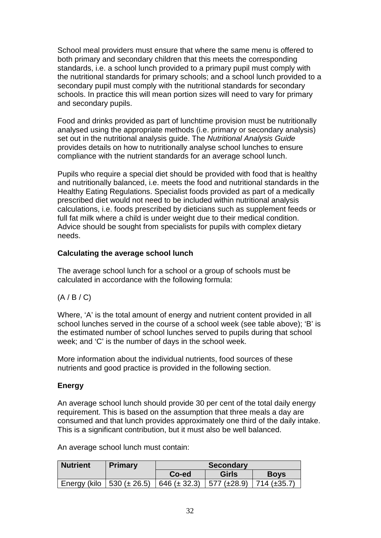School meal providers must ensure that where the same menu is offered to both primary and secondary children that this meets the corresponding standards, i.e. a school lunch provided to a primary pupil must comply with the nutritional standards for primary schools; and a school lunch provided to a secondary pupil must comply with the nutritional standards for secondary schools. In practice this will mean portion sizes will need to vary for primary and secondary pupils.

Food and drinks provided as part of lunchtime provision must be nutritionally analysed using the appropriate methods (i.e. primary or secondary analysis) set out in the nutritional analysis guide. The *Nutritional Analysis Guide* provides details on how to nutritionally analyse school lunches to ensure compliance with the nutrient standards for an average school lunch.

Pupils who require a special diet should be provided with food that is healthy and nutritionally balanced, i.e. meets the food and nutritional standards in the Healthy Eating Regulations. Specialist foods provided as part of a medically prescribed diet would not need to be included within nutritional analysis calculations, i.e. foods prescribed by dieticians such as supplement feeds or full fat milk where a child is under weight due to their medical condition. Advice should be sought from specialists for pupils with complex dietary needs.

#### **Calculating the average school lunch**

The average school lunch for a school or a group of schools must be calculated in accordance with the following formula:

 $(A / B / C)$ 

Where, 'A' is the total amount of energy and nutrient content provided in all school lunches served in the course of a school week (see table above); 'B' is the estimated number of school lunches served to pupils during that school week; and 'C' is the number of days in the school week.

More information about the individual nutrients, food sources of these nutrients and good practice is provided in the following section.

#### **Energy**

An average school lunch should provide 30 per cent of the total daily energy requirement. This is based on the assumption that three meals a day are consumed and that lunch provides approximately one third of the daily intake. This is a significant contribution, but it must also be well balanced.

An average school lunch must contain:

| <b>Nutrient</b> | <b>Primary</b>    | <b>Secondary</b> |              |             |  |  |
|-----------------|-------------------|------------------|--------------|-------------|--|--|
|                 |                   | Co-ed            | <b>Girls</b> | <b>Boys</b> |  |  |
| Energy (kilo    | $1530 (\pm 26.5)$ | $646 (\pm 32.3)$ |              |             |  |  |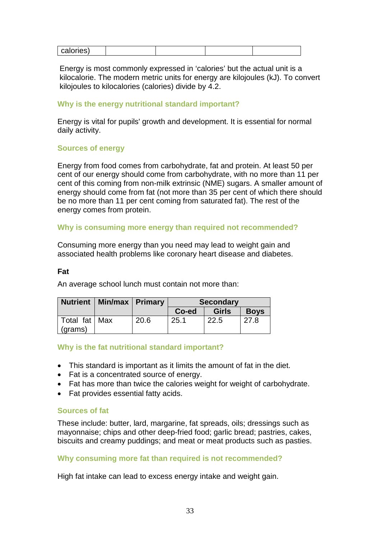| . |
|---|
|---|

Energy is most commonly expressed in 'calories' but the actual unit is a kilocalorie. The modern metric units for energy are kilojoules (kJ). To convert kilojoules to kilocalories (calories) divide by 4.2.

#### **Why is the energy nutritional standard important?**

Energy is vital for pupils' growth and development. It is essential for normal daily activity.

#### **Sources of energy**

Energy from food comes from carbohydrate, fat and protein. At least 50 per cent of our energy should come from carbohydrate, with no more than 11 per cent of this coming from non-milk extrinsic (NME) sugars. A smaller amount of energy should come from fat (not more than 35 per cent of which there should be no more than 11 per cent coming from saturated fat). The rest of the energy comes from protein.

#### **Why is consuming more energy than required not recommended?**

Consuming more energy than you need may lead to weight gain and associated health problems like coronary heart disease and diabetes.

#### **Fat**

An average school lunch must contain not more than:

|                 | Nutrient   Min/max   Primary |      | <b>Secondary</b> |              |             |
|-----------------|------------------------------|------|------------------|--------------|-------------|
|                 |                              |      | Co-ed            | <b>Girls</b> | <b>Boys</b> |
| Total fat   Max |                              | 20.6 | 25.1             | 22.5         | 27.8        |
| (grams)         |                              |      |                  |              |             |

#### **Why is the fat nutritional standard important?**

- This standard is important as it limits the amount of fat in the diet.
- Fat is a concentrated source of energy.
- Fat has more than twice the calories weight for weight of carbohydrate.
- Fat provides essential fatty acids.

#### **Sources of fat**

These include: butter, lard, margarine, fat spreads, oils; dressings such as mayonnaise; chips and other deep-fried food; garlic bread; pastries, cakes, biscuits and creamy puddings; and meat or meat products such as pasties.

#### **Why consuming more fat than required is not recommended?**

High fat intake can lead to excess energy intake and weight gain.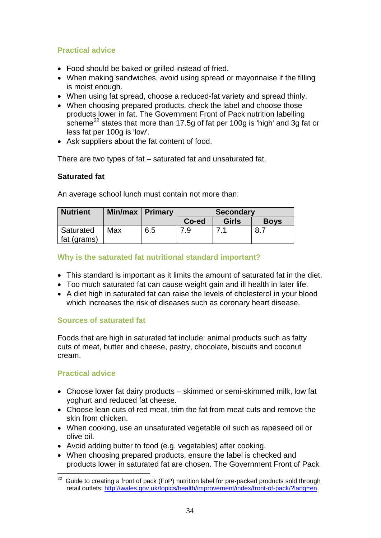### **Practical advice**

- Food should be baked or grilled instead of fried.
- When making sandwiches, avoid using spread or mayonnaise if the filling is moist enough.
- When using fat spread, choose a reduced-fat variety and spread thinly.
- When choosing prepared products, check the label and choose those products lower in fat. The Government Front of Pack nutrition labelling scheme<sup>[22](#page-36-0)</sup> states that more than 17.5g of fat per 100g is 'high' and 3g fat or less fat per 100g is 'low'.
- Ask suppliers about the fat content of food.

There are two types of fat – saturated fat and unsaturated fat.

#### **Saturated fat**

An average school lunch must contain not more than:

| <b>Nutrient</b>          | Min/max   Primary |     | <b>Secondary</b> |       |             |
|--------------------------|-------------------|-----|------------------|-------|-------------|
|                          |                   |     | Co-ed            | Girls | <b>Boys</b> |
| Saturated<br>fat (grams) | Max               | 6.5 |                  |       |             |

#### **Why is the saturated fat nutritional standard important?**

- This standard is important as it limits the amount of saturated fat in the diet.
- Too much saturated fat can cause weight gain and ill health in later life.
- A diet high in saturated fat can raise the levels of cholesterol in your blood which increases the risk of diseases such as coronary heart disease.

#### **Sources of saturated fat**

Foods that are high in saturated fat include: animal products such as fatty cuts of meat, butter and cheese, pastry, chocolate, biscuits and coconut cream.

#### **Practical advice**

- Choose lower fat dairy products skimmed or semi-skimmed milk, low fat yoghurt and reduced fat cheese.
- Choose lean cuts of red meat, trim the fat from meat cuts and remove the skin from chicken.
- When cooking, use an unsaturated vegetable oil such as rapeseed oil or olive oil.
- Avoid adding butter to food (e.g. vegetables) after cooking.
- When choosing prepared products, ensure the label is checked and products lower in saturated fat are chosen. The Government Front of Pack

<span id="page-36-0"></span> $22$  Guide to creating a front of pack (FoP) nutrition label for pre-packed products sold through retail outlets: <http://wales.gov.uk/topics/health/improvement/index/front-of-pack/?lang=en>  $\overline{a}$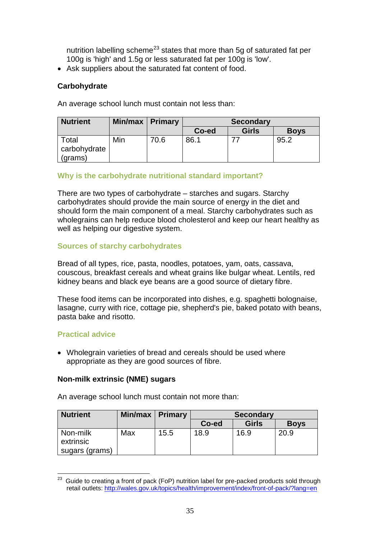nutrition labelling scheme<sup>[23](#page-37-0)</sup> states that more than 5g of saturated fat per 100g is 'high' and 1.5g or less saturated fat per 100g is 'low'.

• Ask suppliers about the saturated fat content of food.

#### **Carbohydrate**

An average school lunch must contain not less than:

| <b>Nutrient</b>                  | Min/max   Primary |      | <b>Secondary</b> |              |             |
|----------------------------------|-------------------|------|------------------|--------------|-------------|
|                                  |                   |      | Co-ed            | <b>Girls</b> | <b>Boys</b> |
| Total<br>carbohydrate<br>(grams) | Min               | 70.6 | 86.1             |              | 95.2        |

#### **Why is the carbohydrate nutritional standard important?**

There are two types of carbohydrate – starches and sugars. Starchy carbohydrates should provide the main source of energy in the diet and should form the main component of a meal. Starchy carbohydrates such as wholegrains can help reduce blood cholesterol and keep our heart healthy as well as helping our digestive system.

#### **Sources of starchy carbohydrates**

Bread of all types, rice, pasta, noodles, potatoes, yam, oats, cassava, couscous, breakfast cereals and wheat grains like bulgar wheat. Lentils, red kidney beans and black eye beans are a good source of dietary fibre.

These food items can be incorporated into dishes, e.g. spaghetti bolognaise, lasagne, curry with rice, cottage pie, shepherd's pie, baked potato with beans, pasta bake and risotto.

#### **Practical advice**

• Wholegrain varieties of bread and cereals should be used where appropriate as they are good sources of fibre.

#### **Non-milk extrinsic (NME) sugars**

An average school lunch must contain not more than:

| <b>Nutrient</b>       | Min/max   Primary |      | <b>Secondary</b> |              |             |
|-----------------------|-------------------|------|------------------|--------------|-------------|
|                       |                   |      | Co-ed            | <b>Girls</b> | <b>Boys</b> |
| Non-milk<br>extrinsic | Max               | 15.5 | 18.9             | 16.9         | 20.9        |
| sugars (grams)        |                   |      |                  |              |             |

<span id="page-37-0"></span>Guide to creating a front of pack (FoP) nutrition label for pre-packed products sold through retail outlets:<http://wales.gov.uk/topics/health/improvement/index/front-of-pack/?lang=en>  $\overline{a}$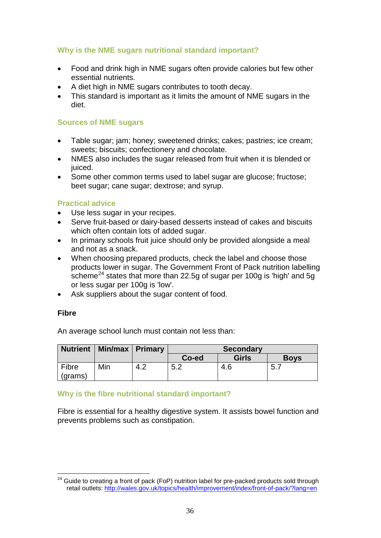#### **Why is the NME sugars nutritional standard important?**

- Food and drink high in NME sugars often provide calories but few other essential nutrients.
- A diet high in NME sugars contributes to tooth decay.
- This standard is important as it limits the amount of NME sugars in the diet.

#### **Sources of NME sugars**

- Table sugar; jam; honey; sweetened drinks; cakes; pastries; ice cream; sweets; biscuits; confectionery and chocolate.
- NMES also includes the sugar released from fruit when it is blended or juiced.
- Some other common terms used to label sugar are glucose; fructose; beet sugar; cane sugar; dextrose; and syrup.

#### **Practical advice**

- Use less sugar in your recipes.
- Serve fruit-based or dairy-based desserts instead of cakes and biscuits which often contain lots of added sugar.
- In primary schools fruit juice should only be provided alongside a meal and not as a snack.
- When choosing prepared products, check the label and choose those products lower in sugar. The Government Front of Pack nutrition labelling scheme<sup>[24](#page-38-0)</sup> states that more than 22.5g of sugar per 100g is 'high' and 5g or less sugar per 100g is 'low'.
- Ask suppliers about the sugar content of food.

#### **Fibre**

An average school lunch must contain not less than:

|                  | Nutrient   Min/max   Primary |     | <b>Secondary</b> |              |             |
|------------------|------------------------------|-----|------------------|--------------|-------------|
|                  |                              |     | Co-ed            | <b>Girls</b> | <b>Boys</b> |
| Fibre<br>(grams) | Min                          | 7.Z | 5.2              | 4.6          | - 5. .      |

#### **Why is the fibre nutritional standard important?**

Fibre is essential for a healthy digestive system. It assists bowel function and prevents problems such as constipation.

<span id="page-38-0"></span> $24$  Guide to creating a front of pack (FoP) nutrition label for pre-packed products sold through retail outlets:<http://wales.gov.uk/topics/health/improvement/index/front-of-pack/?lang=en>  $\overline{a}$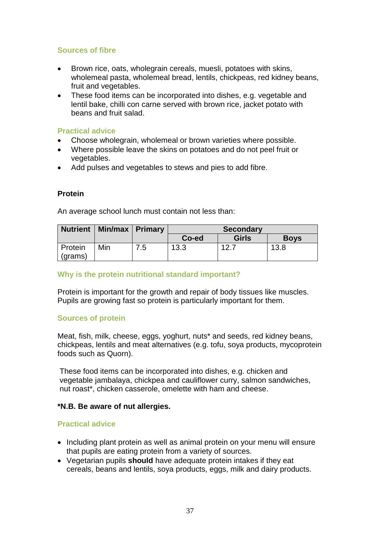#### **Sources of fibre**

- Brown rice, oats, wholegrain cereals, muesli, potatoes with skins, wholemeal pasta, wholemeal bread, lentils, chickpeas, red kidney beans, fruit and vegetables.
- These food items can be incorporated into dishes, e.g. vegetable and lentil bake, chilli con carne served with brown rice, jacket potato with beans and fruit salad.

#### **Practical advice**

- Choose wholegrain, wholemeal or brown varieties where possible.
- Where possible leave the skins on potatoes and do not peel fruit or vegetables.
- Add pulses and vegetables to stews and pies to add fibre.

#### **Protein**

An average school lunch must contain not less than:

|         | Nutrient   Min/max   Primary |     | <b>Secondary</b> |              |             |
|---------|------------------------------|-----|------------------|--------------|-------------|
|         |                              |     | Co-ed            | <b>Girls</b> | <b>Boys</b> |
| Protein | Min                          | 5.' | 13.3             | 12.7         | 13.8        |
| (grams) |                              |     |                  |              |             |

#### **Why is the protein nutritional standard important?**

Protein is important for the growth and repair of body tissues like muscles. Pupils are growing fast so protein is particularly important for them.

#### **Sources of protein**

Meat, fish, milk, cheese, eggs, yoghurt, nuts\* and seeds, red kidney beans, chickpeas, lentils and meat alternatives (e.g. tofu, soya products, mycoprotein foods such as Quorn).

These food items can be incorporated into dishes, e.g. chicken and vegetable jambalaya, chickpea and cauliflower curry, salmon sandwiches, nut roast\*, chicken casserole, omelette with ham and cheese.

#### **\*N.B. Be aware of nut allergies.**

#### **Practical advice**

- Including plant protein as well as animal protein on your menu will ensure that pupils are eating protein from a variety of sources.
- Vegetarian pupils **should** have adequate protein intakes if they eat cereals, beans and lentils, soya products, eggs, milk and dairy products.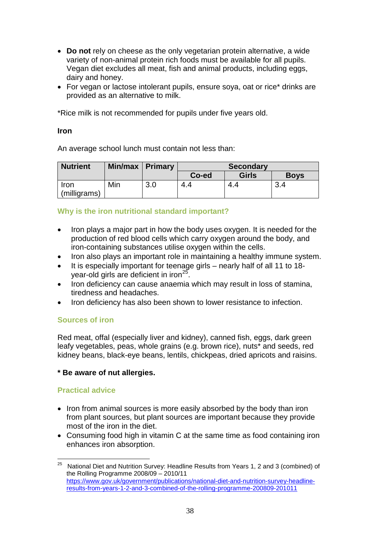- **Do not** rely on cheese as the only vegetarian protein alternative, a wide variety of non-animal protein rich foods must be available for all pupils. Vegan diet excludes all meat, fish and animal products, including eggs, dairy and honey.
- For vegan or lactose intolerant pupils, ensure soya, oat or rice\* drinks are provided as an alternative to milk.

\*Rice milk is not recommended for pupils under five years old.

#### **Iron**

An average school lunch must contain not less than:

| <b>Nutrient</b> | Min/max   Primary |     | <b>Secondary</b> |              |             |
|-----------------|-------------------|-----|------------------|--------------|-------------|
|                 |                   |     | Co-ed            | <b>Girls</b> | <b>Boys</b> |
| Iron            | Min               | 3.0 | 4.4              |              | っ           |
| (milligrams)    |                   |     |                  |              |             |

#### **Why is the iron nutritional standard important?**

- Iron plays a major part in how the body uses oxygen. It is needed for the production of red blood cells which carry oxygen around the body, and iron-containing substances utilise oxygen within the cells.
- Iron also plays an important role in maintaining a healthy immune system.
- It is especially important for teenage girls nearly half of all 11 to 18- year-old girls are deficient in iron<sup>[25](#page-40-0)</sup>.
- Iron deficiency can cause anaemia which may result in loss of stamina, tiredness and headaches.
- Iron deficiency has also been shown to lower resistance to infection.

#### **Sources of iron**

Red meat, offal (especially liver and kidney), canned fish, eggs, dark green leafy vegetables, peas, whole grains (e.g. brown rice), nuts\* and seeds, red kidney beans, black-eye beans, lentils, chickpeas, dried apricots and raisins.

#### **\* Be aware of nut allergies.**

#### **Practical advice**

- Iron from animal sources is more easily absorbed by the body than iron from plant sources, but plant sources are important because they provide most of the iron in the diet.
- Consuming food high in vitamin C at the same time as food containing iron enhances iron absorption.

<span id="page-40-0"></span><sup>25</sup> National Diet and Nutrition Survey: Headline Results from Years 1, 2 and 3 (combined) of the Rolling Programme 2008/09 – 2010/11 [https://www.gov.uk/government/publications/national-diet-and-nutrition-survey-headline](https://www.gov.uk/government/publications/national-diet-and-nutrition-survey-headline-results-from-years-1-2-and-3-combined-of-the-rolling-programme-200809-201011)[results-from-years-1-2-and-3-combined-of-the-rolling-programme-200809-201011](https://www.gov.uk/government/publications/national-diet-and-nutrition-survey-headline-results-from-years-1-2-and-3-combined-of-the-rolling-programme-200809-201011)  $25$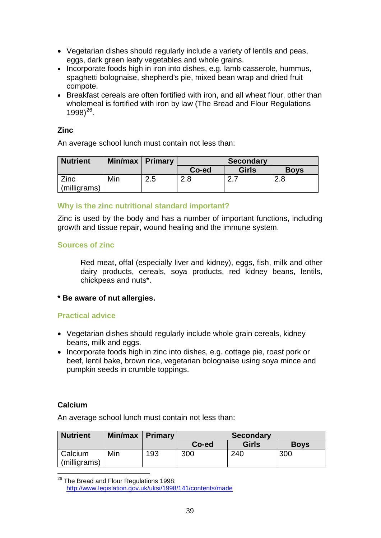- Vegetarian dishes should regularly include a variety of lentils and peas, eggs, dark green leafy vegetables and whole grains.
- Incorporate foods high in iron into dishes, e.g. lamb casserole, hummus, spaghetti bolognaise, shepherd's pie, mixed bean wrap and dried fruit compote.
- Breakfast cereals are often fortified with iron, and all wheat flour, other than wholemeal is fortified with iron by law (The Bread and Flour Regulations  $1998)^{26}$  $1998)^{26}$  $1998)^{26}$ .

#### **Zinc**

An average school lunch must contain not less than:

| <b>Nutrient</b> | Min/max   Primary |     | <b>Secondary</b> |       |             |
|-----------------|-------------------|-----|------------------|-------|-------------|
|                 |                   |     | Co-ed            | Girls | <b>Boys</b> |
| <b>Zinc</b>     | Min               | 2.5 |                  |       | 2.8         |
| (milligrams)    |                   |     |                  |       |             |

#### **Why is the zinc nutritional standard important?**

Zinc is used by the body and has a number of important functions, including growth and tissue repair, wound healing and the immune system.

#### **Sources of zinc**

Red meat, offal (especially liver and kidney), eggs, fish, milk and other dairy products, cereals, soya products, red kidney beans, lentils, chickpeas and nuts\*.

#### **\* Be aware of nut allergies.**

#### **Practical advice**

- Vegetarian dishes should regularly include whole grain cereals, kidney beans, milk and eggs.
- Incorporate foods high in zinc into dishes, e.g. cottage pie, roast pork or beef, lentil bake, brown rice, vegetarian bolognaise using soya mince and pumpkin seeds in crumble toppings.

#### **Calcium**

An average school lunch must contain not less than:

| <b>Nutrient</b> | Min/max | Primary | <b>Secondary</b> |              |             |
|-----------------|---------|---------|------------------|--------------|-------------|
|                 |         |         | Co-ed            | <b>Girls</b> | <b>Boys</b> |
| Calcium         | Min     | 193     | 300              | 240          | 300         |
| (milligrams)    |         |         |                  |              |             |

<span id="page-41-0"></span><sup>&</sup>lt;sup>26</sup> The Bread and Flour Regulations 1998: <http://www.legislation.gov.uk/uksi/1998/141/contents/made>  $\overline{a}$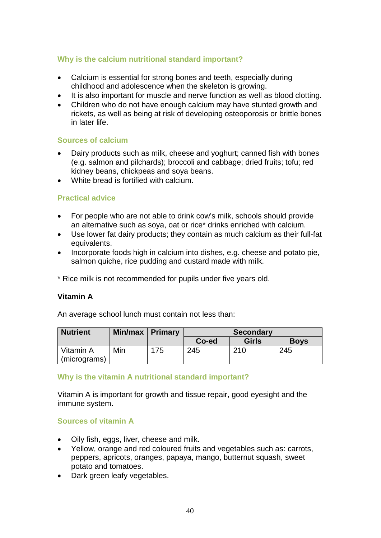#### **Why is the calcium nutritional standard important?**

- Calcium is essential for strong bones and teeth, especially during childhood and adolescence when the skeleton is growing.
- It is also important for muscle and nerve function as well as blood clotting.
- Children who do not have enough calcium may have stunted growth and rickets, as well as being at risk of developing osteoporosis or brittle bones in later life.

#### **Sources of calcium**

- Dairy products such as milk, cheese and yoghurt; canned fish with bones (e.g. salmon and pilchards); broccoli and cabbage; dried fruits; tofu; red kidney beans, chickpeas and soya beans.
- White bread is fortified with calcium.

#### **Practical advice**

- For people who are not able to drink cow's milk, schools should provide an alternative such as soya, oat or rice\* drinks enriched with calcium.
- Use lower fat dairy products; they contain as much calcium as their full-fat equivalents.
- Incorporate foods high in calcium into dishes, e.g. cheese and potato pie, salmon quiche, rice pudding and custard made with milk.

\* Rice milk is not recommended for pupils under five years old.

#### **Vitamin A**

An average school lunch must contain not less than:

| <b>Nutrient</b>           | Min/max   Primary |     | <b>Secondary</b> |              |             |
|---------------------------|-------------------|-----|------------------|--------------|-------------|
|                           |                   |     | Co-ed            | <b>Girls</b> | <b>Boys</b> |
| Vitamin A<br>(micrograms) | Min               | 175 | 245              | 210          | 245         |

#### **Why is the vitamin A nutritional standard important?**

Vitamin A is important for growth and tissue repair, good eyesight and the immune system.

#### **Sources of vitamin A**

- Oily fish, eggs, liver, cheese and milk.
- Yellow, orange and red coloured fruits and vegetables such as: carrots, peppers, apricots, oranges, papaya, mango, butternut squash, sweet potato and tomatoes.
- Dark green leafy vegetables.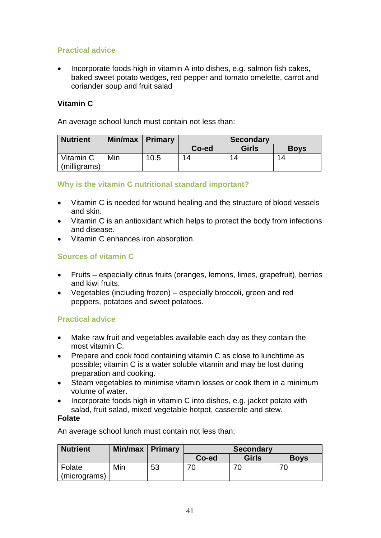### **Practical advice**

• Incorporate foods high in vitamin A into dishes, e.g. salmon fish cakes, baked sweet potato wedges, red pepper and tomato omelette, carrot and coriander soup and fruit salad

#### **Vitamin C**

An average school lunch must contain not less than:

| <b>Nutrient</b> | Min/max   Primary |      | <b>Secondary</b> |              |             |
|-----------------|-------------------|------|------------------|--------------|-------------|
|                 |                   |      | Co-ed            | <b>Girls</b> | <b>Boys</b> |
| Vitamin C       | Min               | 10.5 | 14               | 14           | 14          |
| (milligrams)    |                   |      |                  |              |             |

#### **Why is the vitamin C nutritional standard important?**

- Vitamin C is needed for wound healing and the structure of blood vessels and skin.
- Vitamin C is an antioxidant which helps to protect the body from infections and disease.
- Vitamin C enhances iron absorption.

#### **Sources of vitamin C**

- Fruits especially citrus fruits (oranges, lemons, limes, grapefruit), berries and kiwi fruits.
- Vegetables (including frozen) especially broccoli, green and red peppers, potatoes and sweet potatoes.

#### **Practical advice**

- Make raw fruit and vegetables available each day as they contain the most vitamin C.
- Prepare and cook food containing vitamin C as close to lunchtime as possible; vitamin C is a water soluble vitamin and may be lost during preparation and cooking.
- Steam vegetables to minimise vitamin losses or cook them in a minimum volume of water.
- Incorporate foods high in vitamin C into dishes, e.g. jacket potato with salad, fruit salad, mixed vegetable hotpot, casserole and stew.

#### **Folate**

An average school lunch must contain not less than;

| <b>Nutrient</b> | Min/max   Primary |    | <b>Secondary</b> |              |             |
|-----------------|-------------------|----|------------------|--------------|-------------|
|                 |                   |    | Co-ed            | <b>Girls</b> | <b>Boys</b> |
| Folate          | Min               | 53 |                  |              |             |
| (micrograms)    |                   |    |                  |              |             |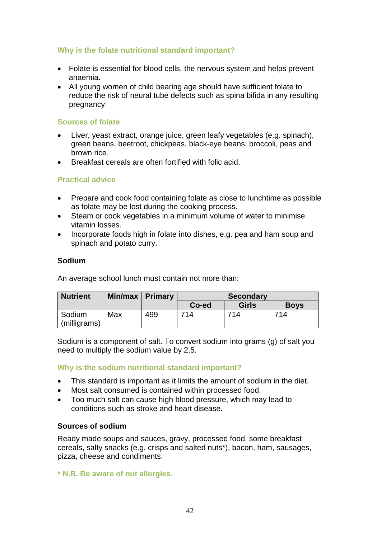#### **Why is the folate nutritional standard important?**

- Folate is essential for blood cells, the nervous system and helps prevent anaemia.
- All young women of child bearing age should have sufficient folate to reduce the risk of neural tube defects such as spina bifida in any resulting pregnancy

#### **Sources of folate**

- Liver, yeast extract, orange juice, green leafy vegetables (e.g. spinach), green beans, beetroot, chickpeas, black-eye beans, broccoli, peas and brown rice.
- Breakfast cereals are often fortified with folic acid.

#### **Practical advice**

- Prepare and cook food containing folate as close to lunchtime as possible as folate may be lost during the cooking process.
- Steam or cook vegetables in a minimum volume of water to minimise vitamin losses.
- Incorporate foods high in folate into dishes, e.g. pea and ham soup and spinach and potato curry.

#### **Sodium**

An average school lunch must contain not more than:

| <b>Nutrient</b> | Min/max   Primary |     | <b>Secondary</b> |              |             |
|-----------------|-------------------|-----|------------------|--------------|-------------|
|                 |                   |     | Co-ed            | <b>Girls</b> | <b>Boys</b> |
| Sodium          | Max               | 499 | 714              | 714          | 714         |
| (milligrams)    |                   |     |                  |              |             |

Sodium is a component of salt. To convert sodium into grams (g) of salt you need to multiply the sodium value by 2.5.

#### **Why is the sodium nutritional standard important?**

- This standard is important as it limits the amount of sodium in the diet.
- Most salt consumed is contained within processed food.
- Too much salt can cause high blood pressure, which may lead to conditions such as stroke and heart disease.

#### **Sources of sodium**

Ready made soups and sauces, gravy, processed food, some breakfast cereals, salty snacks (e.g. crisps and salted nuts\*), bacon, ham, sausages, pizza, cheese and condiments.

**\* N.B. Be aware of nut allergies.**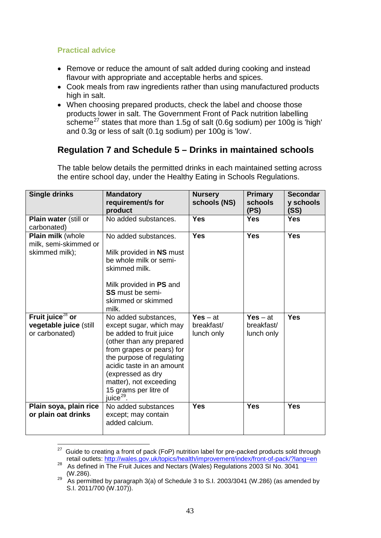#### **Practical advice**

- Remove or reduce the amount of salt added during cooking and instead flavour with appropriate and acceptable herbs and spices.
- Cook meals from raw ingredients rather than using manufactured products high in salt.
- When choosing prepared products, check the label and choose those products lower in salt. The Government Front of Pack nutrition labelling scheme<sup>[27](#page-45-0)</sup> states that more than 1.5g of salt (0.6g sodium) per 100g is 'high' and 0.3g or less of salt (0.1g sodium) per 100g is 'low'.

## **Regulation 7 and Schedule 5 – Drinks in maintained schools**

| <b>Single drinks</b>                                                                | <b>Mandatory</b><br>requirement/s for<br>product                                                                                                                                                                                                                                               | <b>Nursery</b><br>schools (NS)         | <b>Primary</b><br>schools<br>(PS)      | <b>Secondar</b><br>y schools<br>(SS) |
|-------------------------------------------------------------------------------------|------------------------------------------------------------------------------------------------------------------------------------------------------------------------------------------------------------------------------------------------------------------------------------------------|----------------------------------------|----------------------------------------|--------------------------------------|
| Plain water (still or<br>carbonated)                                                | No added substances.                                                                                                                                                                                                                                                                           | <b>Yes</b>                             | <b>Yes</b>                             | <b>Yes</b>                           |
| Plain milk (whole<br>milk, semi-skimmed or<br>skimmed milk);                        | No added substances.<br>Milk provided in NS must<br>be whole milk or semi-<br>skimmed milk.<br>Milk provided in PS and<br><b>SS</b> must be semi-<br>skimmed or skimmed<br>milk.                                                                                                               | <b>Yes</b>                             | <b>Yes</b>                             | <b>Yes</b>                           |
| Fruit $\overline{\text{julce}^{28}}$ or<br>vegetable juice (still<br>or carbonated) | No added substances,<br>except sugar, which may<br>be added to fruit juice<br>(other than any prepared<br>from grapes or pears) for<br>the purpose of regulating<br>acidic taste in an amount<br>(expressed as dry<br>matter), not exceeding<br>15 grams per litre of<br>juice <sup>29</sup> . | $Yes - at$<br>breakfast/<br>lunch only | $Yes - at$<br>breakfast/<br>lunch only | <b>Yes</b>                           |
| Plain soya, plain rice<br>or plain oat drinks                                       | No added substances<br>except; may contain<br>added calcium.                                                                                                                                                                                                                                   | <b>Yes</b>                             | <b>Yes</b>                             | <b>Yes</b>                           |

The table below details the permitted drinks in each maintained setting across the entire school day, under the Healthy Eating in Schools Regulations.

<span id="page-45-0"></span>Guide to creating a front of pack (FoP) nutrition label for pre-packed products sold through<br>retail outlets: http://wales.gov.uk/topics/health/improvement/index/front-of-pack/?lang=en  $27\,$ 

<span id="page-45-1"></span>retail outlets: http://wales.gov.uk/topics/health/index/front-of-content-of-pack-of-pack-of-pack-of-pack-of-pac<br>As defined in The Fruit Juices and Nectars (Wales) Regulations 2003 SI No. 3041<br>(W.286).

<span id="page-45-2"></span> $\frac{29}{2}$  As permitted by paragraph 3(a) of Schedule 3 to S.I. 2003/3041 (W.286) (as amended by S.I. 2011/700 (W.107)).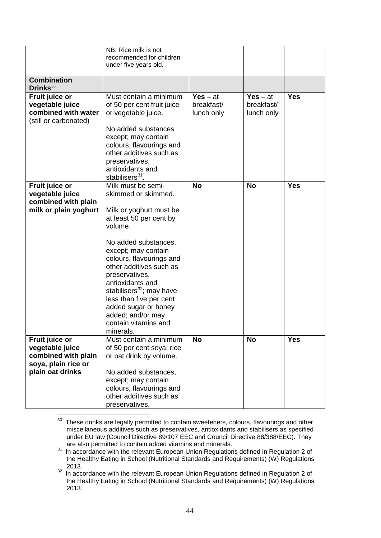|                                                                                   | NB: Rice milk is not<br>recommended for children<br>under five years old.                                                                                                                                                         |                                        |                                        |            |
|-----------------------------------------------------------------------------------|-----------------------------------------------------------------------------------------------------------------------------------------------------------------------------------------------------------------------------------|----------------------------------------|----------------------------------------|------------|
|                                                                                   |                                                                                                                                                                                                                                   |                                        |                                        |            |
| <b>Combination</b><br>Drinks $30$                                                 |                                                                                                                                                                                                                                   |                                        |                                        |            |
| Fruit juice or<br>vegetable juice<br>combined with water<br>(still or carbonated) | Must contain a minimum<br>of 50 per cent fruit juice<br>or vegetable juice.<br>No added substances<br>except; may contain<br>colours, flavourings and                                                                             | $Yes - at$<br>breakfast/<br>lunch only | $Yes - at$<br>breakfast/<br>lunch only | <b>Yes</b> |
|                                                                                   | other additives such as<br>preservatives,<br>antioxidants and<br>stabilisers <sup>31</sup> .                                                                                                                                      |                                        |                                        |            |
| Fruit juice or<br>vegetable juice                                                 | Milk must be semi-<br>skimmed or skimmed.                                                                                                                                                                                         | <b>No</b>                              | <b>No</b>                              | <b>Yes</b> |
| combined with plain<br>milk or plain yoghurt                                      | Milk or yoghurt must be<br>at least 50 per cent by<br>volume.<br>No added substances,<br>except; may contain                                                                                                                      |                                        |                                        |            |
|                                                                                   | colours, flavourings and<br>other additives such as<br>preservatives,<br>antioxidants and<br>stabilisers <sup>32</sup> ; may have<br>less than five per cent<br>added sugar or honey<br>added; and/or may<br>contain vitamins and |                                        |                                        |            |
|                                                                                   | minerals.<br>Must contain a minimum                                                                                                                                                                                               | <b>No</b>                              | <b>No</b>                              | <b>Yes</b> |
| Fruit juice or<br>vegetable juice<br>combined with plain<br>soya, plain rice or   | of 50 per cent soya, rice<br>or oat drink by volume.                                                                                                                                                                              |                                        |                                        |            |
| plain oat drinks                                                                  | No added substances,<br>except; may contain<br>colours, flavourings and<br>other additives such as<br>preservatives,                                                                                                              |                                        |                                        |            |

<span id="page-46-0"></span>These drinks are legally permitted to contain sweeteners, colours, flavourings and other miscellaneous additives such as preservatives, antioxidants and stabilisers as specified under EU law (Council Directive 89/107 EEC and Council Directive 88/388/EEC). They are also permitted to contain added vitamins and minerals.  $30$ 

<span id="page-46-1"></span>are also permitted to contain added vitamins and minerals. <sup>31</sup> In accordance with the relevant European Union Regulations defined in Regulation 2 of the Healthy Eating in School (Nutritional Standards and Requirements) (W) Regulations 2013.

<span id="page-46-2"></span><sup>&</sup>lt;sup>32</sup> In accordance with the relevant European Union Regulations defined in Regulation 2 of the Healthy Eating in School (Nutritional Standards and Requirements) (W) Regulations 2013.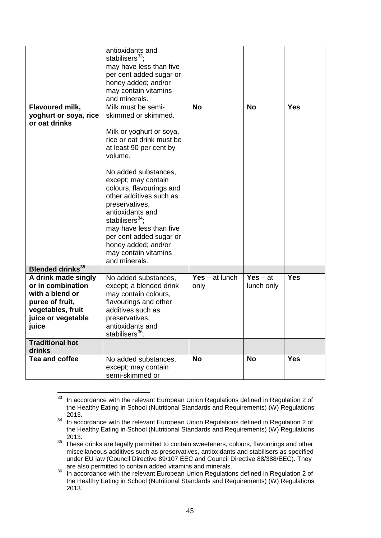|                                                                                                                                    | antioxidants and<br>stabilisers $33$ :<br>may have less than five<br>per cent added sugar or<br>honey added; and/or<br>may contain vitamins<br>and minerals.                                                                                                                                                                                                                                                                        |                          |                          |            |
|------------------------------------------------------------------------------------------------------------------------------------|-------------------------------------------------------------------------------------------------------------------------------------------------------------------------------------------------------------------------------------------------------------------------------------------------------------------------------------------------------------------------------------------------------------------------------------|--------------------------|--------------------------|------------|
| Flavoured milk,<br>yoghurt or soya, rice<br>or oat drinks                                                                          | Milk must be semi-<br>skimmed or skimmed.<br>Milk or yoghurt or soya,<br>rice or oat drink must be<br>at least 90 per cent by<br>volume.<br>No added substances,<br>except; may contain<br>colours, flavourings and<br>other additives such as<br>preservatives,<br>antioxidants and<br>stabilisers $^{34}$ ;<br>may have less than five<br>per cent added sugar or<br>honey added; and/or<br>may contain vitamins<br>and minerals. | <b>No</b>                | <b>No</b>                | <b>Yes</b> |
| <b>Blended drinks</b> <sup>35</sup>                                                                                                |                                                                                                                                                                                                                                                                                                                                                                                                                                     |                          |                          |            |
| A drink made singly<br>or in combination<br>with a blend or<br>puree of fruit,<br>vegetables, fruit<br>juice or vegetable<br>juice | No added substances,<br>except; a blended drink<br>may contain colours,<br>flavourings and other<br>additives such as<br>preservatives,<br>antioxidants and<br>stabilisers <sup>36</sup> .                                                                                                                                                                                                                                          | Yes $-$ at lunch<br>only | $Yes - at$<br>lunch only | <b>Yes</b> |
| <b>Traditional hot</b><br>drinks                                                                                                   |                                                                                                                                                                                                                                                                                                                                                                                                                                     |                          |                          |            |
| <b>Tea and coffee</b>                                                                                                              | No added substances,<br>except; may contain<br>semi-skimmed or                                                                                                                                                                                                                                                                                                                                                                      | <b>No</b>                | <b>No</b>                | <b>Yes</b> |

<span id="page-47-0"></span><sup>33</sup> In accordance with the relevant European Union Regulations defined in Regulation 2 of the Healthy Eating in School (Nutritional Standards and Requirements) (W) Regulations 2013. 33

<span id="page-47-1"></span><sup>&</sup>lt;sup>34</sup> In accordance with the relevant European Union Regulations defined in Regulation 2 of the Healthy Eating in School (Nutritional Standards and Requirements) (W) Regulations 2013.

<span id="page-47-2"></span> $35$  These drinks are legally permitted to contain sweeteners, colours, flavourings and other miscellaneous additives such as preservatives, antioxidants and stabilisers as specified under EU law (Council Directive 89/107 EEC and Council Directive 88/388/EEC). They are also permitted to contain added vitamins and minerals.

<span id="page-47-3"></span>are also permitted to contain added vitamins and minerals. <sup>36</sup> In accordance with the relevant European Union Regulations defined in Regulation 2 of the Healthy Eating in School (Nutritional Standards and Requirements) (W) Regulations 2013.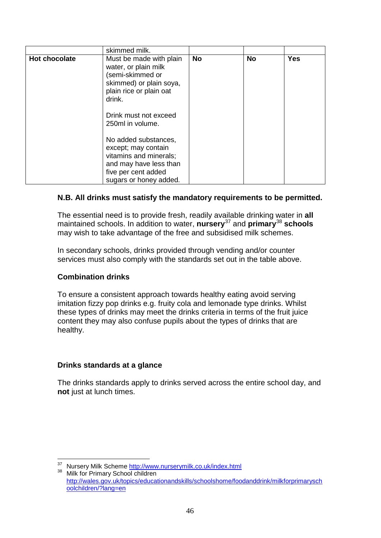|                      | skimmed milk.                                                                                                                                                                    |           |           |            |
|----------------------|----------------------------------------------------------------------------------------------------------------------------------------------------------------------------------|-----------|-----------|------------|
| <b>Hot chocolate</b> | Must be made with plain<br>water, or plain milk<br>(semi-skimmed or<br>skimmed) or plain soya,<br>plain rice or plain oat<br>drink.<br>Drink must not exceed<br>250ml in volume. | <b>No</b> | <b>No</b> | <b>Yes</b> |
|                      | No added substances,<br>except; may contain<br>vitamins and minerals;<br>and may have less than<br>five per cent added<br>sugars or honey added.                                 |           |           |            |

#### **N.B. All drinks must satisfy the mandatory requirements to be permitted.**

The essential need is to provide fresh, readily available drinking water in **all** maintained schools. In addition to water, **nursery**[37](#page-48-0) and **primary**[38](#page-48-1) **schools** may wish to take advantage of the free and subsidised milk schemes.

In secondary schools, drinks provided through vending and/or counter services must also comply with the standards set out in the table above.

#### **Combination drinks**

To ensure a consistent approach towards healthy eating avoid serving imitation fizzy pop drinks e.g. fruity cola and lemonade type drinks. Whilst these types of drinks may meet the drinks criteria in terms of the fruit juice content they may also confuse pupils about the types of drinks that are healthy.

#### **Drinks standards at a glance**

The drinks standards apply to drinks served across the entire school day, and **not** just at lunch times.

<sup>37</sup> 

<span id="page-48-1"></span><span id="page-48-0"></span> $37$  Nursery Milk Scheme  $\frac{http://www.nurserymilk.co.uk/index.html}{http://www.nurserymilk.co.uk/index.html}$ <br> $38$  Milk for Primary School children [http://wales.gov.uk/topics/educationandskills/schoolshome/foodanddrink/milkforprimarysch](http://wales.gov.uk/topics/educationandskills/schoolshome/foodanddrink/milkforprimaryschoolchildren/?lang=en) [oolchildren/?lang=en](http://wales.gov.uk/topics/educationandskills/schoolshome/foodanddrink/milkforprimaryschoolchildren/?lang=en)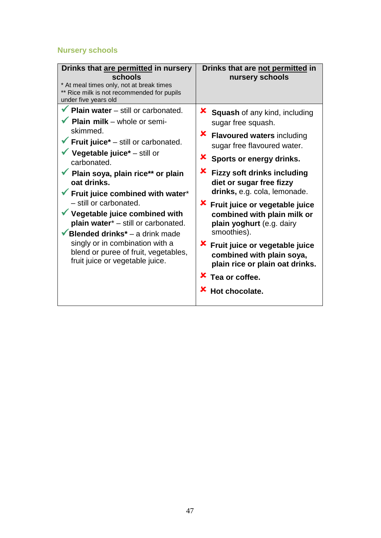## **Nursery schools**

| <b>Plain water</b> – still or carbonated.<br><b>X</b> Squash of any kind, including<br>Plain milk - whole or semi-<br>sugar free squash.<br>skimmed.<br><b>X</b> Flavoured waters including<br>Fruit juice* - still or carbonated.<br>sugar free flavoured water.<br>Vegetable juice* - still or<br><b>X</b> Sports or energy drinks.<br>carbonated.<br><b>X</b> Fizzy soft drinks including<br>$\checkmark$ Plain soya, plain rice** or plain<br>oat drinks.<br>diet or sugar free fizzy<br>drinks, e.g. cola, lemonade.<br>Fruit juice combined with water*<br>- still or carbonated.<br><b>X</b> Fruit juice or vegetable juice<br>Vegetable juice combined with<br>combined with plain milk or<br>plain water* - still or carbonated.<br>plain yoghurt (e.g. dairy<br>smoothies).<br><b>Blended drinks</b> <sup>*</sup> – a drink made<br>singly or in combination with a<br><b>X</b> Fruit juice or vegetable juice<br>blend or puree of fruit, vegetables,<br>combined with plain soya,<br>fruit juice or vegetable juice.<br>plain rice or plain oat drinks.<br>$x$ Tea or coffee. | Drinks that are permitted in nursery<br>schools<br>* At meal times only, not at break times<br>** Rice milk is not recommended for pupils<br>under five years old | Drinks that are not permitted in<br>nursery schools |
|-------------------------------------------------------------------------------------------------------------------------------------------------------------------------------------------------------------------------------------------------------------------------------------------------------------------------------------------------------------------------------------------------------------------------------------------------------------------------------------------------------------------------------------------------------------------------------------------------------------------------------------------------------------------------------------------------------------------------------------------------------------------------------------------------------------------------------------------------------------------------------------------------------------------------------------------------------------------------------------------------------------------------------------------------------------------------------------------|-------------------------------------------------------------------------------------------------------------------------------------------------------------------|-----------------------------------------------------|
| <b>X</b> Hot chocolate.                                                                                                                                                                                                                                                                                                                                                                                                                                                                                                                                                                                                                                                                                                                                                                                                                                                                                                                                                                                                                                                                   |                                                                                                                                                                   |                                                     |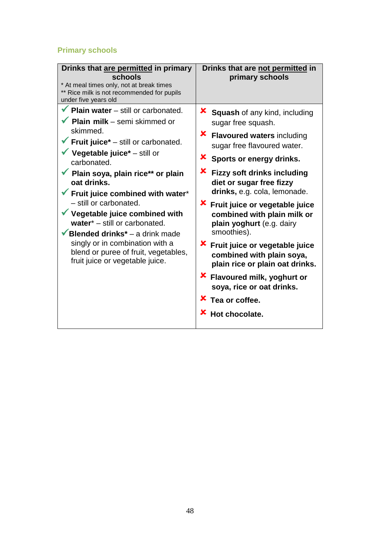## **Primary schools**

| Drinks that are permitted in primary<br>schools<br>* At meal times only, not at break times<br>** Rice milk is not recommended for pupils<br>under five years old                                                                                                                                                                                                                                                                                                                                                                                                                                     | Drinks that are not permitted in<br>primary schools                                                                                                                                                                                                                                                                                                                                                                                                                                                                                                                                                                                 |
|-------------------------------------------------------------------------------------------------------------------------------------------------------------------------------------------------------------------------------------------------------------------------------------------------------------------------------------------------------------------------------------------------------------------------------------------------------------------------------------------------------------------------------------------------------------------------------------------------------|-------------------------------------------------------------------------------------------------------------------------------------------------------------------------------------------------------------------------------------------------------------------------------------------------------------------------------------------------------------------------------------------------------------------------------------------------------------------------------------------------------------------------------------------------------------------------------------------------------------------------------------|
| $\checkmark$ Plain water – still or carbonated.<br>$\checkmark$ Plain milk – semi skimmed or<br>skimmed.<br>$\checkmark$ Fruit juice <sup>*</sup> – still or carbonated.<br>Vegetable juice* $-$ still or<br>carbonated.<br><b>V</b> Plain soya, plain rice** or plain<br>oat drinks.<br>Fruit juice combined with water*<br>- still or carbonated.<br>$\checkmark$ Vegetable juice combined with<br>water* - still or carbonated.<br><b>Blended drinks</b> <sup>*</sup> – a drink made<br>singly or in combination with a<br>blend or puree of fruit, vegetables,<br>fruit juice or vegetable juice. | <b>X</b> Squash of any kind, including<br>sugar free squash.<br>x.<br><b>Flavoured waters including</b><br>sugar free flavoured water.<br><b>X</b> Sports or energy drinks.<br><b>X</b> Fizzy soft drinks including<br>diet or sugar free fizzy<br>drinks, e.g. cola, lemonade.<br><b>X</b> Fruit juice or vegetable juice<br>combined with plain milk or<br>plain yoghurt (e.g. dairy<br>smoothies).<br><b>X</b> Fruit juice or vegetable juice<br>combined with plain soya,<br>plain rice or plain oat drinks.<br><b>X</b> Flavoured milk, yoghurt or<br>soya, rice or oat drinks.<br>X Tea or coffee.<br><b>X</b> Hot chocolate. |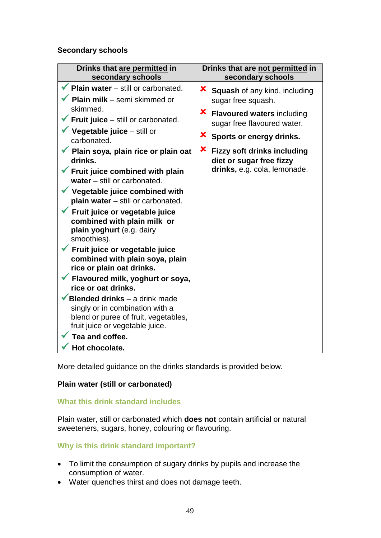#### **Secondary schools**

| Drinks that are permitted in<br>secondary schools                                                                                                    | Drinks that are not permitted in<br>secondary schools                                                    |
|------------------------------------------------------------------------------------------------------------------------------------------------------|----------------------------------------------------------------------------------------------------------|
| <b>Plain water</b> – still or carbonated.<br>$\checkmark$ Plain milk – semi skimmed or                                                               | <b>X</b> Squash of any kind, including<br>sugar free squash.                                             |
| skimmed.<br><b>Fruit juice</b> – still or carbonated.<br>Vegetable juice - still or                                                                  | X.<br><b>Flavoured waters including</b><br>sugar free flavoured water.<br>x.<br>Sports or energy drinks. |
| carbonated.<br>Plain soya, plain rice or plain oat<br>drinks.<br>Fruit juice combined with plain                                                     | X.<br><b>Fizzy soft drinks including</b><br>diet or sugar free fizzy<br>drinks, e.g. cola, lemonade.     |
| water $-$ still or carbonated.<br>Vegetable juice combined with<br>plain water - still or carbonated.                                                |                                                                                                          |
| Fruit juice or vegetable juice<br>combined with plain milk or<br>plain yoghurt (e.g. dairy<br>smoothies).                                            |                                                                                                          |
| Fruit juice or vegetable juice<br>combined with plain soya, plain<br>rice or plain oat drinks.                                                       |                                                                                                          |
| Flavoured milk, yoghurt or soya,<br>rice or oat drinks.                                                                                              |                                                                                                          |
| <b>Blended drinks</b> $-$ a drink made<br>singly or in combination with a<br>blend or puree of fruit, vegetables,<br>fruit juice or vegetable juice. |                                                                                                          |
| Tea and coffee.                                                                                                                                      |                                                                                                          |
| Hot chocolate.                                                                                                                                       |                                                                                                          |

More detailed guidance on the drinks standards is provided below.

#### **Plain water (still or carbonated)**

#### **What this drink standard includes**

Plain water, still or carbonated which **does not** contain artificial or natural sweeteners, sugars, honey, colouring or flavouring.

### **Why is this drink standard important?**

- To limit the consumption of sugary drinks by pupils and increase the consumption of water.
- Water quenches thirst and does not damage teeth.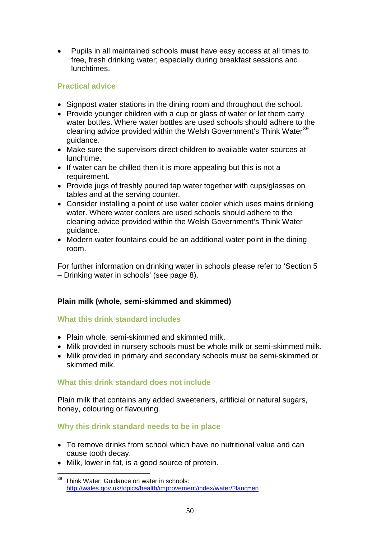• Pupils in all maintained schools **must** have easy access at all times to free, fresh drinking water; especially during breakfast sessions and **lunchtimes** 

### **Practical advice**

- Signpost water stations in the dining room and throughout the school.
- Provide younger children with a cup or glass of water or let them carry water bottles. Where water bottles are used schools should adhere to the cleaning advice provided within the Welsh Government's Think Water<sup>[39](#page-52-0)</sup> guidance.
- Make sure the supervisors direct children to available water sources at lunchtime.
- If water can be chilled then it is more appealing but this is not a requirement.
- Provide jugs of freshly poured tap water together with cups/glasses on tables and at the serving counter.
- Consider installing a point of use water cooler which uses mains drinking water. Where water coolers are used schools should adhere to the cleaning advice provided within the Welsh Government's Think Water guidance.
- Modern water fountains could be an additional water point in the dining room.

For further information on drinking water in schools please refer to 'Section 5 – Drinking water in schools' (see page 8).

#### **Plain milk (whole, semi-skimmed and skimmed)**

#### **What this drink standard includes**

- Plain whole, semi-skimmed and skimmed milk.
- Milk provided in nursery schools must be whole milk or semi-skimmed milk.
- Milk provided in primary and secondary schools must be semi-skimmed or skimmed milk.

#### **What this drink standard does not include**

Plain milk that contains any added sweeteners, artificial or natural sugars, honey, colouring or flavouring.

#### **Why this drink standard needs to be in place**

- To remove drinks from school which have no nutritional value and can cause tooth decay.
- Milk, lower in fat, is a good source of protein.

<span id="page-52-0"></span>Think Water: Guidance on water in schools: <http://wales.gov.uk/topics/health/improvement/index/water/?lang=en> 39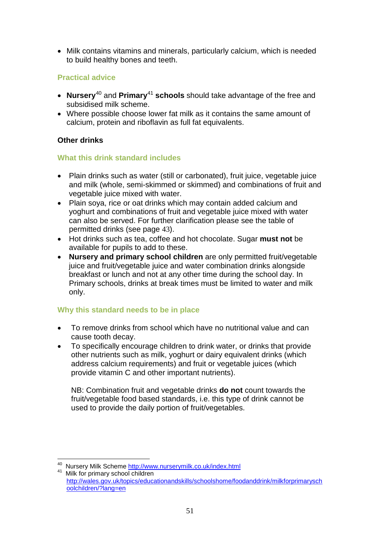• Milk contains vitamins and minerals, particularly calcium, which is needed to build healthy bones and teeth.

#### **Practical advice**

- **Nursery**[40](#page-53-0) and **Primary**[41](#page-53-1) **schools** should take advantage of the free and subsidised milk scheme.
- Where possible choose lower fat milk as it contains the same amount of calcium, protein and riboflavin as full fat equivalents.

#### **Other drinks**

#### **What this drink standard includes**

- Plain drinks such as water (still or carbonated), fruit juice, vegetable juice and milk (whole, semi-skimmed or skimmed) and combinations of fruit and vegetable juice mixed with water.
- Plain soya, rice or oat drinks which may contain added calcium and yoghurt and combinations of fruit and vegetable juice mixed with water can also be served. For further clarification please see the table of permitted drinks (see page 43).
- Hot drinks such as tea, coffee and hot chocolate. Sugar **must not** be available for pupils to add to these.
- **Nursery and primary school children** are only permitted fruit/vegetable juice and fruit/vegetable juice and water combination drinks alongside breakfast or lunch and not at any other time during the school day. In Primary schools, drinks at break times must be limited to water and milk only.

## **Why this standard needs to be in place**

- To remove drinks from school which have no nutritional value and can cause tooth decay.
- To specifically encourage children to drink water, or drinks that provide other nutrients such as milk, yoghurt or dairy equivalent drinks (which address calcium requirements) and fruit or vegetable juices (which provide vitamin C and other important nutrients).

NB: Combination fruit and vegetable drinks **do not** count towards the fruit/vegetable food based standards, i.e. this type of drink cannot be used to provide the daily portion of fruit/vegetables.

 $\overline{a}$ 

<span id="page-53-1"></span><span id="page-53-0"></span><sup>&</sup>lt;sup>40</sup> Nursery Milk Scheme<http://www.nurserymilk.co.uk/index.html><br><sup>41</sup> Milk for primary school children [http://wales.gov.uk/topics/educationandskills/schoolshome/foodanddrink/milkforprimarysch](http://wales.gov.uk/topics/educationandskills/schoolshome/foodanddrink/milkforprimaryschoolchildren/?lang=en) [oolchildren/?lang=en](http://wales.gov.uk/topics/educationandskills/schoolshome/foodanddrink/milkforprimaryschoolchildren/?lang=en)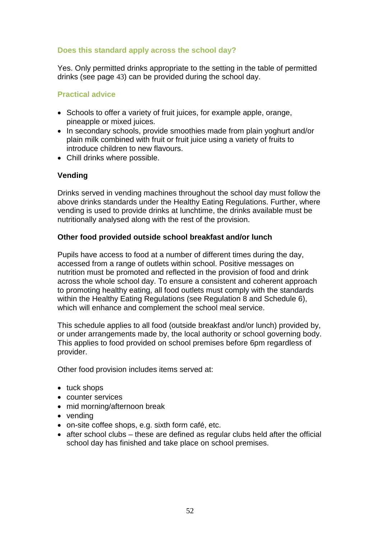#### **Does this standard apply across the school day?**

Yes. Only permitted drinks appropriate to the setting in the table of permitted drinks (see page 43) can be provided during the school day.

#### **Practical advice**

- Schools to offer a variety of fruit juices, for example apple, orange, pineapple or mixed juices.
- In secondary schools, provide smoothies made from plain yoghurt and/or plain milk combined with fruit or fruit juice using a variety of fruits to introduce children to new flavours.
- Chill drinks where possible.

#### **Vending**

Drinks served in vending machines throughout the school day must follow the above drinks standards under the Healthy Eating Regulations. Further, where vending is used to provide drinks at lunchtime, the drinks available must be nutritionally analysed along with the rest of the provision.

#### **Other food provided outside school breakfast and/or lunch**

Pupils have access to food at a number of different times during the day, accessed from a range of outlets within school. Positive messages on nutrition must be promoted and reflected in the provision of food and drink across the whole school day. To ensure a consistent and coherent approach to promoting healthy eating, all food outlets must comply with the standards within the Healthy Eating Regulations (see Regulation 8 and Schedule 6). which will enhance and complement the school meal service.

This schedule applies to all food (outside breakfast and/or lunch) provided by, or under arrangements made by, the local authority or school governing body. This applies to food provided on school premises before 6pm regardless of provider.

Other food provision includes items served at:

- tuck shops
- counter services
- mid morning/afternoon break
- vending
- on-site coffee shops, e.g. sixth form café, etc.
- after school clubs these are defined as regular clubs held after the official school day has finished and take place on school premises.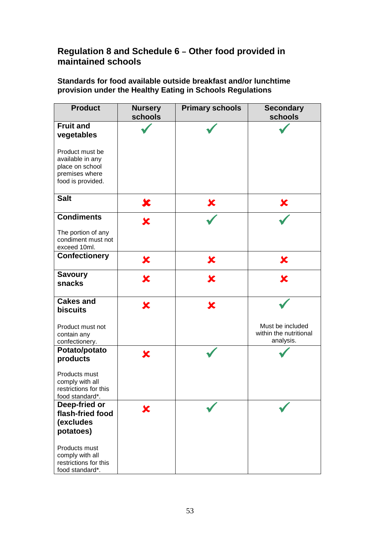## **Regulation 8 and Schedule 6 – Other food provided in maintained schools**

**Standards for food available outside breakfast and/or lunchtime provision under the Healthy Eating in Schools Regulations**

| <b>Product</b>                                                                                | <b>Nursery</b><br>schools | <b>Primary schools</b>  | <b>Secondary</b><br>schools                             |
|-----------------------------------------------------------------------------------------------|---------------------------|-------------------------|---------------------------------------------------------|
| <b>Fruit and</b><br>vegetables                                                                |                           |                         |                                                         |
| Product must be<br>available in any<br>place on school<br>premises where<br>food is provided. |                           |                         |                                                         |
| <b>Salt</b>                                                                                   | X                         | X                       | Х                                                       |
| <b>Condiments</b>                                                                             | X                         |                         |                                                         |
| The portion of any<br>condiment must not<br>exceed 10ml.                                      |                           |                         |                                                         |
| <b>Confectionery</b>                                                                          | ×                         | X                       | X                                                       |
| <b>Savoury</b><br>snacks                                                                      | X                         | $\bm{\varkappa}$        | X                                                       |
| <b>Cakes and</b><br><b>biscuits</b>                                                           | X                         | $\overline{\textbf{x}}$ |                                                         |
| Product must not<br>contain any<br>confectionery.                                             |                           |                         | Must be included<br>within the nutritional<br>analysis. |
| Potato/potato<br>products                                                                     | X                         |                         |                                                         |
| Products must<br>comply with all<br>restrictions for this<br>food standard*.                  |                           |                         |                                                         |
| Deep-fried or<br>flash-fried food<br>(excludes<br>potatoes)                                   | X                         |                         |                                                         |
| Products must<br>comply with all<br>restrictions for this<br>food standard*.                  |                           |                         |                                                         |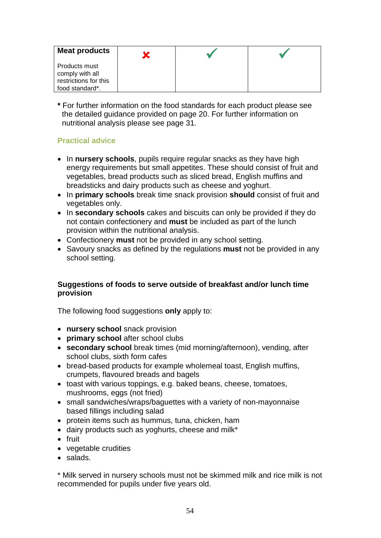| <b>Meat products</b>                                                                |  |  |
|-------------------------------------------------------------------------------------|--|--|
| <b>Products must</b><br>comply with all<br>restrictions for this<br>food standard*. |  |  |

**\*** For further information on the food standards for each product please see the detailed guidance provided on page 20. For further information on nutritional analysis please see page 31.

## **Practical advice**

- In **nursery schools**, pupils require regular snacks as they have high energy requirements but small appetites. These should consist of fruit and vegetables, bread products such as sliced bread, English muffins and breadsticks and dairy products such as cheese and yoghurt.
- In **primary schools** break time snack provision **should** consist of fruit and vegetables only.
- In **secondary schools** cakes and biscuits can only be provided if they do not contain confectionery and **must** be included as part of the lunch provision within the nutritional analysis.
- Confectionery **must** not be provided in any school setting.
- Savoury snacks as defined by the regulations **must** not be provided in any school setting.

#### **Suggestions of foods to serve outside of breakfast and/or lunch time provision**

The following food suggestions **only** apply to:

- **nursery school** snack provision
- **primary school** after school clubs
- **secondary school** break times (mid morning/afternoon), vending, after school clubs, sixth form cafes
- bread-based products for example wholemeal toast, English muffins, crumpets, flavoured breads and bagels
- toast with various toppings, e.g. baked beans, cheese, tomatoes, mushrooms, eggs (not fried)
- small sandwiches/wraps/baguettes with a variety of non-mayonnaise based fillings including salad
- protein items such as hummus, tuna, chicken, ham
- dairy products such as yoghurts, cheese and milk\*
- fruit
- vegetable crudities
- salads.

\* Milk served in nursery schools must not be skimmed milk and rice milk is not recommended for pupils under five years old.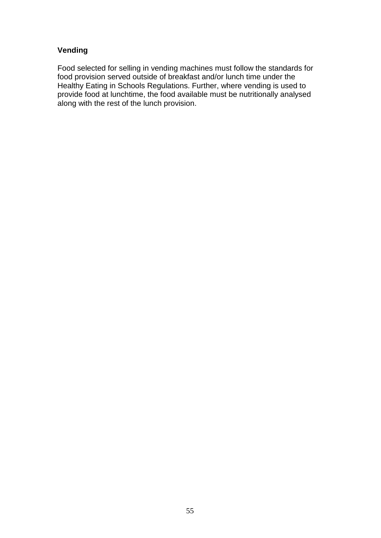#### **Vending**

Food selected for selling in vending machines must follow the standards for food provision served outside of breakfast and/or lunch time under the Healthy Eating in Schools Regulations. Further, where vending is used to provide food at lunchtime, the food available must be nutritionally analysed along with the rest of the lunch provision.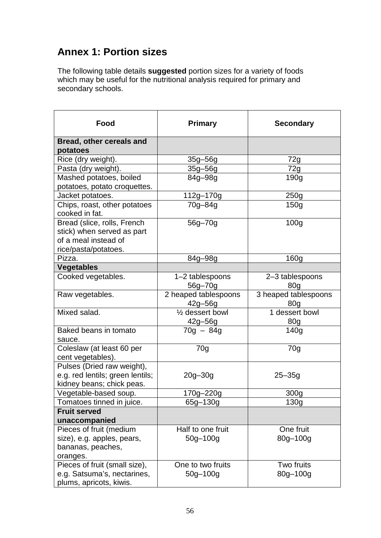## **Annex 1: Portion sizes**

The following table details **suggested** portion sizes for a variety of foods which may be useful for the nutritional analysis required for primary and secondary schools.

| Food                                                                                                      | <b>Primary</b>                              | <b>Secondary</b>                        |
|-----------------------------------------------------------------------------------------------------------|---------------------------------------------|-----------------------------------------|
| Bread, other cereals and<br>potatoes                                                                      |                                             |                                         |
| Rice (dry weight).                                                                                        | 35g-56g                                     | 72g                                     |
| Pasta (dry weight).                                                                                       | $35g - 56g$                                 | 72g                                     |
| Mashed potatoes, boiled<br>potatoes, potato croquettes.                                                   | 84g-98g                                     | 190 <sub>g</sub>                        |
| Jacket potatoes.                                                                                          | 112g-170g                                   | 250g                                    |
| Chips, roast, other potatoes<br>cooked in fat.                                                            | 70g-84g                                     | 150 <sub>g</sub>                        |
| Bread (slice, rolls, French<br>stick) when served as part<br>of a meal instead of<br>rice/pasta/potatoes. | 56g-70g                                     | 100 <sub>g</sub>                        |
| Pizza.                                                                                                    | 84g-98g                                     | 160 <sub>g</sub>                        |
| <b>Vegetables</b>                                                                                         |                                             |                                         |
| Cooked vegetables.                                                                                        | 1-2 tablespoons<br>56g-70g                  | 2-3 tablespoons<br>80 <sub>q</sub>      |
| Raw vegetables.                                                                                           | 2 heaped tablespoons<br>$42g - 56g$         | 3 heaped tablespoons<br>80 <sub>g</sub> |
| Mixed salad.                                                                                              | 1/ <sub>2</sub> dessert bowl<br>$42g - 56g$ | 1 dessert bowl<br>80 <sub>g</sub>       |
| Baked beans in tomato<br>sauce.                                                                           | $70g - 84g$                                 | 140 <sub>g</sub>                        |
| Coleslaw (at least 60 per<br>cent vegetables).                                                            | 70g                                         | 70 <sub>g</sub>                         |
| Pulses (Dried raw weight),<br>e.g. red lentils; green lentils;<br>kidney beans; chick peas.               | $20g - 30g$                                 | $25 - 35g$                              |
| Vegetable-based soup.                                                                                     | 170g-220g                                   | 300 <sub>g</sub>                        |
| Tomatoes tinned in juice.                                                                                 | 65g-130g                                    | 130 <sub>g</sub>                        |
| <b>Fruit served</b><br>unaccompanied                                                                      |                                             |                                         |
| Pieces of fruit (medium<br>size), e.g. apples, pears,<br>bananas, peaches,<br>oranges.                    | Half to one fruit<br>$50g - 100g$           | One fruit<br>80g-100g                   |
| Pieces of fruit (small size),<br>e.g. Satsuma's, nectarines,<br>plums, apricots, kiwis.                   | One to two fruits<br>$50g - 100g$           | Two fruits<br>80g-100g                  |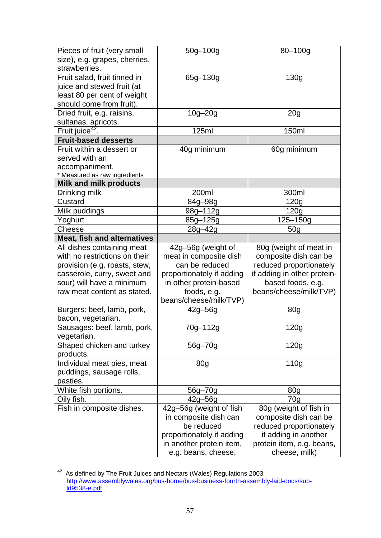| Pieces of fruit (very small        | $50g - 100g$              | $80 - 100g$                 |
|------------------------------------|---------------------------|-----------------------------|
| size), e.g. grapes, cherries,      |                           |                             |
| strawberries.                      |                           |                             |
| Fruit salad, fruit tinned in       | 65g-130g                  | 130 <sub>g</sub>            |
| juice and stewed fruit (at         |                           |                             |
| least 80 per cent of weight        |                           |                             |
| should come from fruit).           |                           |                             |
| Dried fruit, e.g. raisins,         | $10g - 20g$               | 20 <sub>g</sub>             |
| sultanas, apricots.                |                           |                             |
| Fruit juice <sup>42</sup> .        | 125ml                     | 150ml                       |
| <b>Fruit-based desserts</b>        |                           |                             |
| Fruit within a dessert or          | 40g minimum               | 60g minimum                 |
| served with an                     |                           |                             |
| accompaniment.                     |                           |                             |
| * Measured as raw ingredients      |                           |                             |
| <b>Milk and milk products</b>      |                           |                             |
| Drinking milk                      | 200ml                     | 300ml                       |
| Custard                            | 84g-98g                   | 120g                        |
| Milk puddings                      | 98g-112g                  | 120g                        |
| Yoghurt                            | 85g-125g                  | 125-150g                    |
| Cheese                             | 28g-42g                   | 50 <sub>g</sub>             |
| <b>Meat, fish and alternatives</b> |                           |                             |
| All dishes containing meat         | 42g-56g (weight of        | 80g (weight of meat in      |
| with no restrictions on their      | meat in composite dish    | composite dish can be       |
| provision (e.g. roasts, stew,      | can be reduced            | reduced proportionately     |
| casserole, curry, sweet and        | proportionately if adding | if adding in other protein- |
| sour) will have a minimum          | in other protein-based    | based foods, e.g.           |
| raw meat content as stated.        | foods, e.g.               | beans/cheese/milk/TVP)      |
|                                    | beans/cheese/milk/TVP)    |                             |
| Burgers: beef, lamb, pork,         | $42g - 56g$               | 80 <sub>g</sub>             |
| bacon, vegetarian.                 |                           |                             |
| Sausages: beef, lamb, pork,        | 70g-112g                  | 120g                        |
| vegetarian.                        |                           |                             |
| Shaped chicken and turkey          | 56g-70g                   | 120g                        |
| products.                          |                           |                             |
| Individual meat pies, meat         | 80 <sub>g</sub>           | 110g                        |
| puddings, sausage rolls,           |                           |                             |
| pasties.                           |                           |                             |
| White fish portions.               | 56g-70g                   | 80 <sub>g</sub>             |
| Oily fish.                         | $42g - 56g$               | 70 <sub>q</sub>             |
| Fish in composite dishes.          | 42g-56g (weight of fish   | 80g (weight of fish in      |
|                                    | in composite dish can     | composite dish can be       |
|                                    | be reduced                | reduced proportionately     |
|                                    | proportionately if adding | if adding in another        |
|                                    | in another protein item,  | protein item, e.g. beans,   |
|                                    | e.g. beans, cheese,       | cheese, milk)               |

<span id="page-59-0"></span> $42$  As defined by The Fruit Juices and Nectars (Wales) Regulations 2003 [http://www.assemblywales.org/bus-home/bus-business-fourth-assembly-laid-docs/sub](http://www.assemblywales.org/bus-home/bus-business-fourth-assembly-laid-docs/sub-ld9538-e.pdf)[ld9538-e.pdf](http://www.assemblywales.org/bus-home/bus-business-fourth-assembly-laid-docs/sub-ld9538-e.pdf)  $42$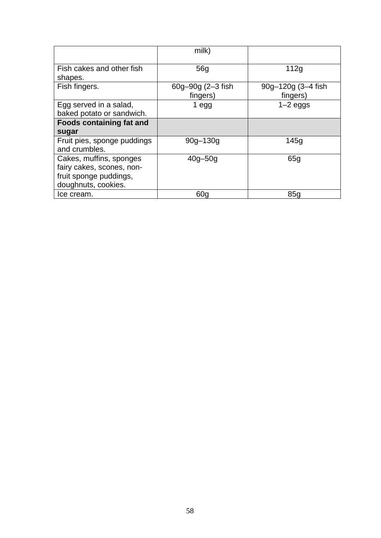|                                                                                                       | milk)                         |                                |
|-------------------------------------------------------------------------------------------------------|-------------------------------|--------------------------------|
| Fish cakes and other fish<br>shapes.                                                                  | 56 <sub>q</sub>               | 112g                           |
| Fish fingers.                                                                                         | 60g-90g (2-3 fish<br>fingers) | 90g-120g (3-4 fish<br>fingers) |
| Egg served in a salad,<br>baked potato or sandwich.                                                   | 1 egg                         | $1-2$ eggs                     |
| <b>Foods containing fat and</b><br>sugar                                                              |                               |                                |
| Fruit pies, sponge puddings<br>and crumbles.                                                          | $90q - 130q$                  | 145g                           |
| Cakes, muffins, sponges<br>fairy cakes, scones, non-<br>fruit sponge puddings,<br>doughnuts, cookies. | $40g - 50g$                   | 65g                            |
| Ice cream.                                                                                            | 60 <sub>q</sub>               | 85q                            |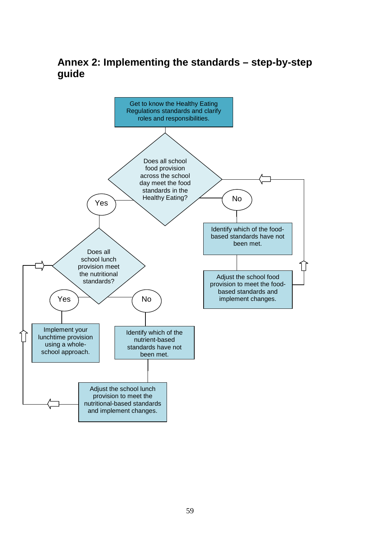**Annex 2: Implementing the standards – step-by-step guide**

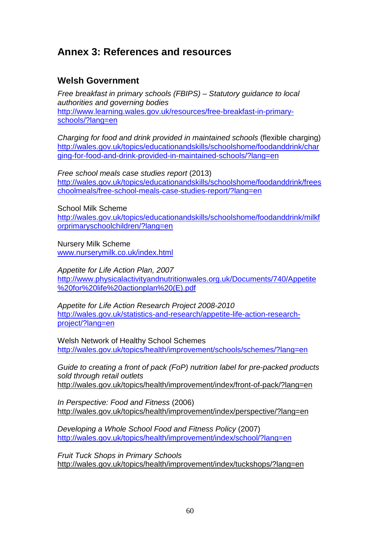## **Annex 3: References and resources**

## **Welsh Government**

*Free breakfast in primary schools (FBIPS) – Statutory guidance to local authorities and governing bodies* [http://www.learning.wales.gov.uk/resources/free-breakfast-in-primary](http://www.learning.wales.gov.uk/resources/free-breakfast-in-primary-schools/?lang=en)[schools/?lang=en](http://www.learning.wales.gov.uk/resources/free-breakfast-in-primary-schools/?lang=en)

*Charging for food and drink provided in maintained schools* (flexible charging) [http://wales.gov.uk/topics/educationandskills/schoolshome/foodanddrink/char](http://wales.gov.uk/topics/educationandskills/schoolshome/foodanddrink/charging-for-food-and-drink-provided-in-maintained-schools/?lang=en) [ging-for-food-and-drink-provided-in-maintained-schools/?lang=en](http://wales.gov.uk/topics/educationandskills/schoolshome/foodanddrink/charging-for-food-and-drink-provided-in-maintained-schools/?lang=en)

*Free school meals case studies report* (2013) [http://wales.gov.uk/topics/educationandskills/schoolshome/foodanddrink/frees](http://wales.gov.uk/topics/educationandskills/schoolshome/foodanddrink/freeschoolmeals/free-school-meals-case-studies-report/?lang=en) [choolmeals/free-school-meals-case-studies-report/?lang=en](http://wales.gov.uk/topics/educationandskills/schoolshome/foodanddrink/freeschoolmeals/free-school-meals-case-studies-report/?lang=en)

School Milk Scheme

[http://wales.gov.uk/topics/educationandskills/schoolshome/foodanddrink/milkf](http://wales.gov.uk/topics/educationandskills/schoolshome/foodanddrink/milkforprimaryschoolchildren/?lang=en) [orprimaryschoolchildren/?lang=en](http://wales.gov.uk/topics/educationandskills/schoolshome/foodanddrink/milkforprimaryschoolchildren/?lang=en)

Nursery Milk Scheme [www.nurserymilk.co.uk/index.html](http://www.nurserymilk.co.uk/index.html)

*Appetite for Life Action Plan, 2007* [http://www.physicalactivityandnutritionwales.org.uk/Documents/740/Appetite](http://www.physicalactivityandnutritionwales.org.uk/Documents/740/Appetite%20for%20life%20actionplan%20(E).pdf) [%20for%20life%20actionplan%20\(E\).pdf](http://www.physicalactivityandnutritionwales.org.uk/Documents/740/Appetite%20for%20life%20actionplan%20(E).pdf)

*Appetite for Life Action Research Project 2008-2010* [http://wales.gov.uk/statistics-and-research/appetite-life-action-research](http://wales.gov.uk/statistics-and-research/appetite-life-action-research-project/?lang=en)[project/?lang=en](http://wales.gov.uk/statistics-and-research/appetite-life-action-research-project/?lang=en)

Welsh Network of Healthy School Schemes <http://wales.gov.uk/topics/health/improvement/schools/schemes/?lang=en>

*Guide to creating a front of pack (FoP) nutrition label for pre-packed products sold through retail outlets* <http://wales.gov.uk/topics/health/improvement/index/front-of-pack/?lang=en>

*In Perspective: Food and Fitness* (2006) <http://wales.gov.uk/topics/health/improvement/index/perspective/?lang=en>

*Developing a Whole School Food and Fitness Policy* (2007) <http://wales.gov.uk/topics/health/improvement/index/school/?lang=en>

*Fruit Tuck Shops in Primary Schools* <http://wales.gov.uk/topics/health/improvement/index/tuckshops/?lang=en>